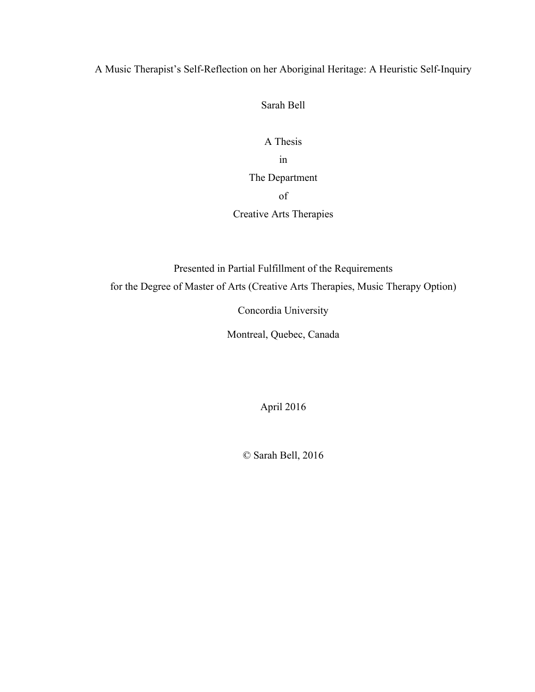# A Music Therapist's Self-Reflection on her Aboriginal Heritage: A Heuristic Self-Inquiry

Sarah Bell

A Thesis in The Department of Creative Arts Therapies

Presented in Partial Fulfillment of the Requirements for the Degree of Master of Arts (Creative Arts Therapies, Music Therapy Option)

Concordia University

Montreal, Quebec, Canada

April 2016

© Sarah Bell, 2016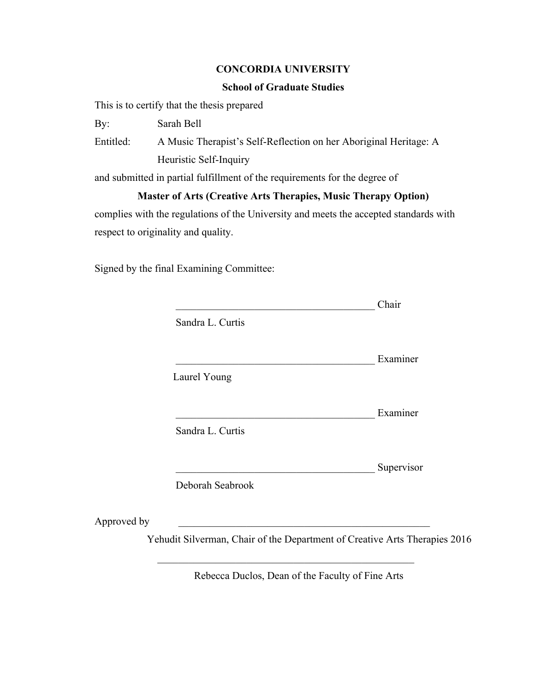# **CONCORDIA UNIVERSITY**

# **School of Graduate Studies**

This is to certify that the thesis prepared

By: Sarah Bell

Entitled: A Music Therapist's Self-Reflection on her Aboriginal Heritage: A Heuristic Self-Inquiry

and submitted in partial fulfillment of the requirements for the degree of

# **Master of Arts (Creative Arts Therapies, Music Therapy Option)**

complies with the regulations of the University and meets the accepted standards with respect to originality and quality.

Signed by the final Examining Committee:

|             |                  | Chair                                                                      |
|-------------|------------------|----------------------------------------------------------------------------|
|             | Sandra L. Curtis |                                                                            |
|             |                  | Examiner                                                                   |
|             | Laurel Young     |                                                                            |
|             |                  | Examiner                                                                   |
|             | Sandra L. Curtis |                                                                            |
|             |                  | Supervisor                                                                 |
|             | Deborah Seabrook |                                                                            |
|             |                  |                                                                            |
| Approved by |                  |                                                                            |
|             |                  | Yehudit Silverman, Chair of the Department of Creative Arts Therapies 2016 |

Rebecca Duclos, Dean of the Faculty of Fine Arts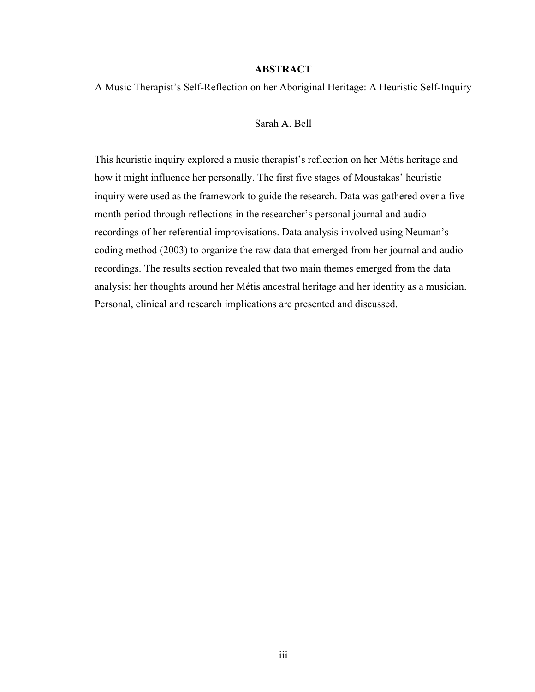### **ABSTRACT**

A Music Therapist's Self-Reflection on her Aboriginal Heritage: A Heuristic Self-Inquiry

#### Sarah A. Bell

This heuristic inquiry explored a music therapist's reflection on her Métis heritage and how it might influence her personally. The first five stages of Moustakas' heuristic inquiry were used as the framework to guide the research. Data was gathered over a fivemonth period through reflections in the researcher's personal journal and audio recordings of her referential improvisations. Data analysis involved using Neuman's coding method (2003) to organize the raw data that emerged from her journal and audio recordings. The results section revealed that two main themes emerged from the data analysis: her thoughts around her Métis ancestral heritage and her identity as a musician. Personal, clinical and research implications are presented and discussed.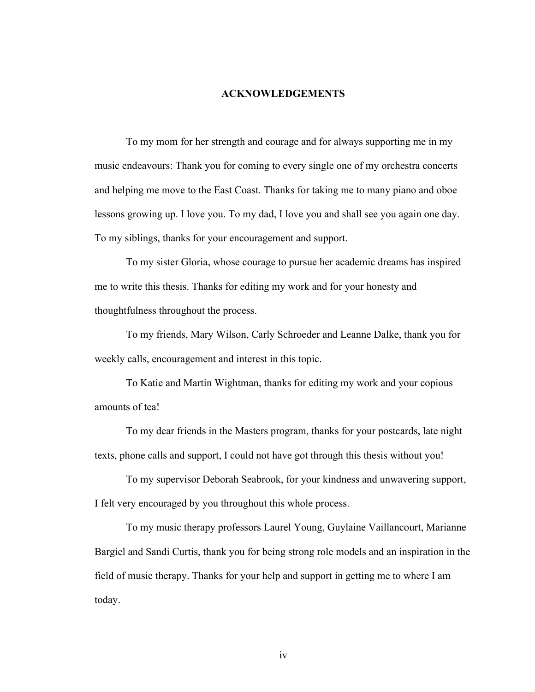#### **ACKNOWLEDGEMENTS**

To my mom for her strength and courage and for always supporting me in my music endeavours: Thank you for coming to every single one of my orchestra concerts and helping me move to the East Coast. Thanks for taking me to many piano and oboe lessons growing up. I love you. To my dad, I love you and shall see you again one day. To my siblings, thanks for your encouragement and support.

To my sister Gloria, whose courage to pursue her academic dreams has inspired me to write this thesis. Thanks for editing my work and for your honesty and thoughtfulness throughout the process.

To my friends, Mary Wilson, Carly Schroeder and Leanne Dalke, thank you for weekly calls, encouragement and interest in this topic.

To Katie and Martin Wightman, thanks for editing my work and your copious amounts of tea!

To my dear friends in the Masters program, thanks for your postcards, late night texts, phone calls and support, I could not have got through this thesis without you!

To my supervisor Deborah Seabrook, for your kindness and unwavering support, I felt very encouraged by you throughout this whole process.

To my music therapy professors Laurel Young, Guylaine Vaillancourt, Marianne Bargiel and Sandi Curtis, thank you for being strong role models and an inspiration in the field of music therapy. Thanks for your help and support in getting me to where I am today.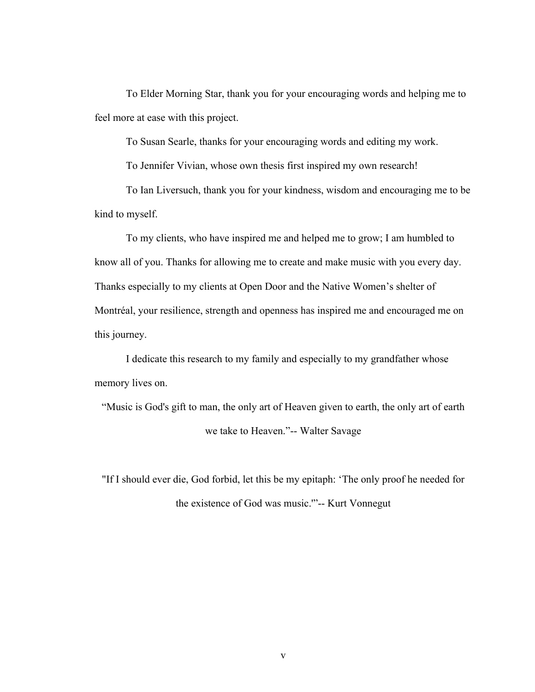To Elder Morning Star, thank you for your encouraging words and helping me to feel more at ease with this project.

To Susan Searle, thanks for your encouraging words and editing my work.

To Jennifer Vivian, whose own thesis first inspired my own research!

To Ian Liversuch, thank you for your kindness, wisdom and encouraging me to be kind to myself.

To my clients, who have inspired me and helped me to grow; I am humbled to know all of you. Thanks for allowing me to create and make music with you every day. Thanks especially to my clients at Open Door and the Native Women's shelter of Montréal, your resilience, strength and openness has inspired me and encouraged me on this journey.

I dedicate this research to my family and especially to my grandfather whose memory lives on.

"Music is God's gift to man, the only art of Heaven given to earth, the only art of earth we take to Heaven."-- Walter Savage

"If I should ever die, God forbid, let this be my epitaph: 'The only proof he needed for the existence of God was music.'"-- Kurt Vonnegut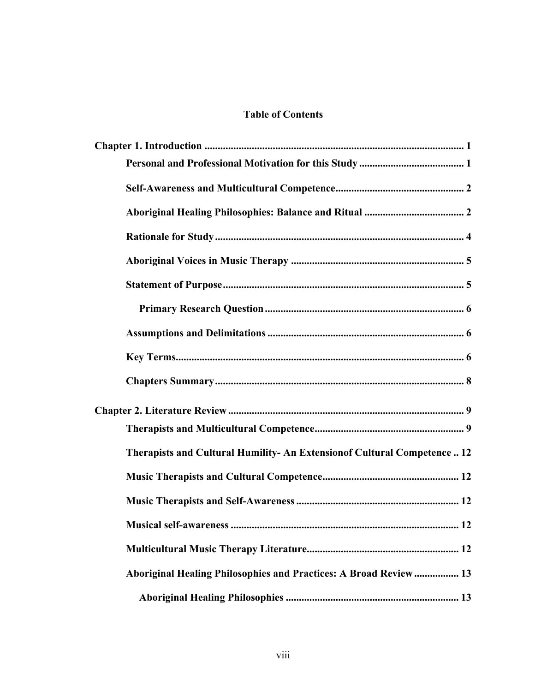# **Table of Contents**

| Therapists and Cultural Humility- An Extension of Cultural Competence 12 |
|--------------------------------------------------------------------------|
|                                                                          |
|                                                                          |
|                                                                          |
|                                                                          |
| Aboriginal Healing Philosophies and Practices: A Broad Review 13         |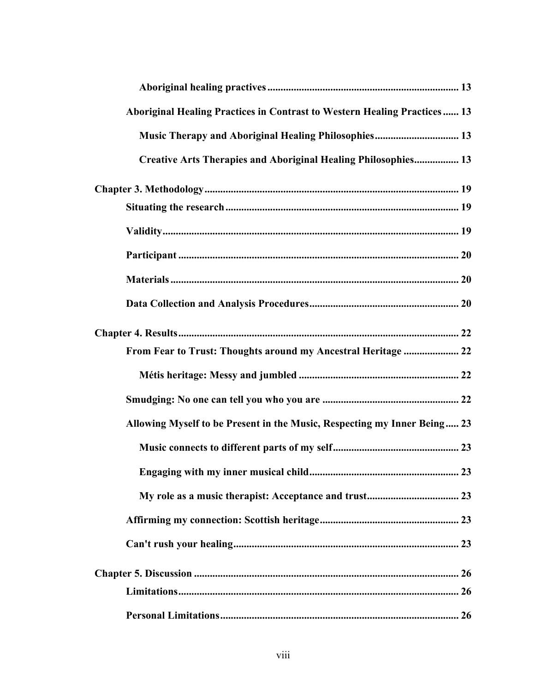| Aboriginal Healing Practices in Contrast to Western Healing Practices 13 |
|--------------------------------------------------------------------------|
| Music Therapy and Aboriginal Healing Philosophies 13                     |
| Creative Arts Therapies and Aboriginal Healing Philosophies 13           |
|                                                                          |
|                                                                          |
|                                                                          |
|                                                                          |
|                                                                          |
|                                                                          |
|                                                                          |
| From Fear to Trust: Thoughts around my Ancestral Heritage  22            |
|                                                                          |
|                                                                          |
| Allowing Myself to be Present in the Music, Respecting my Inner Being 23 |
|                                                                          |
| Engaging with my inner musical child<br>23                               |
|                                                                          |
|                                                                          |
|                                                                          |
|                                                                          |
|                                                                          |
|                                                                          |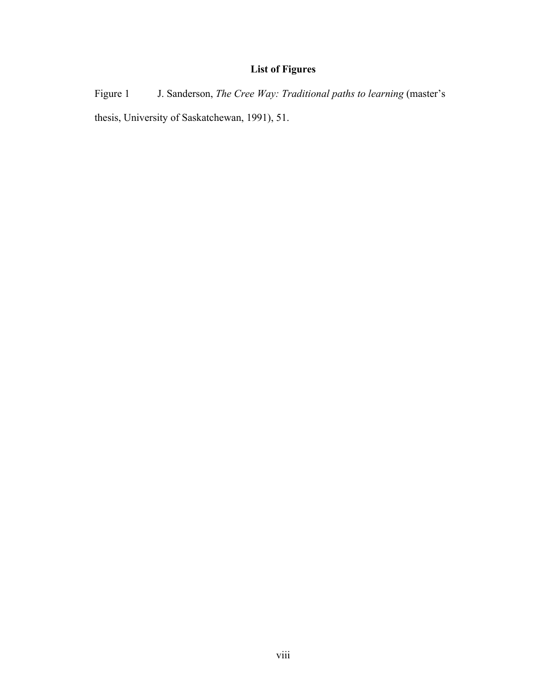# **List of Figures**

Figure 1 J. Sanderson, *The Cree Way: Traditional paths to learning* (master's thesis, University of Saskatchewan, 1991), 51.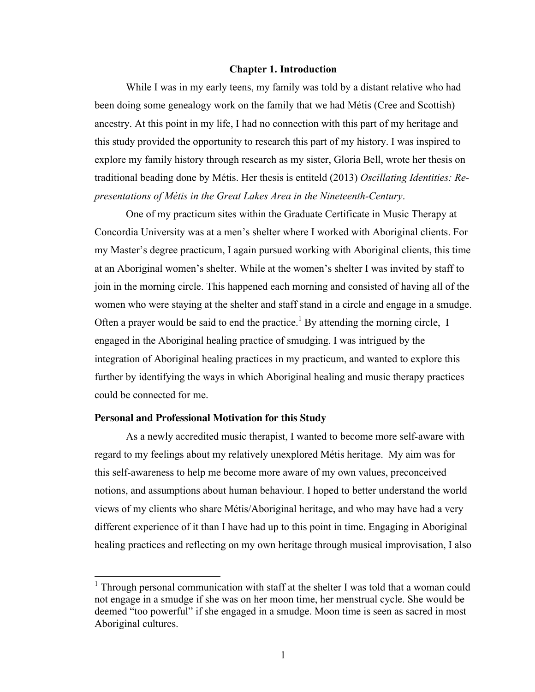### <span id="page-9-0"></span>**Chapter 1. Introduction**

While I was in my early teens, my family was told by a distant relative who had been doing some genealogy work on the family that we had Métis (Cree and Scottish) ancestry. At this point in my life, I had no connection with this part of my heritage and this study provided the opportunity to research this part of my history. I was inspired to explore my family history through research as my sister, Gloria Bell, wrote her thesis on traditional beading done by Métis. Her thesis is entiteld (2013) *Oscillating Identities: Representations of Métis in the Great Lakes Area in the Nineteenth-Century*.

One of my practicum sites within the Graduate Certificate in Music Therapy at Concordia University was at a men's shelter where I worked with Aboriginal clients. For my Master's degree practicum, I again pursued working with Aboriginal clients, this time at an Aboriginal women's shelter. While at the women's shelter I was invited by staff to join in the morning circle. This happened each morning and consisted of having all of the women who were staying at the shelter and staff stand in a circle and engage in a smudge. Often a prayer would be said to end the practice.<sup>1</sup> By attending the morning circle, I engaged in the Aboriginal healing practice of smudging. I was intrigued by the integration of Aboriginal healing practices in my practicum, and wanted to explore this further by identifying the ways in which Aboriginal healing and music therapy practices could be connected for me.

#### <span id="page-9-1"></span>**Personal and Professional Motivation for this Study**

As a newly accredited music therapist, I wanted to become more self-aware with regard to my feelings about my relatively unexplored Métis heritage. My aim was for this self-awareness to help me become more aware of my own values, preconceived notions, and assumptions about human behaviour. I hoped to better understand the world views of my clients who share Métis/Aboriginal heritage, and who may have had a very different experience of it than I have had up to this point in time. Engaging in Aboriginal healing practices and reflecting on my own heritage through musical improvisation, I also

<sup>&</sup>lt;sup>1</sup> Through personal communication with staff at the shelter I was told that a woman could not engage in a smudge if she was on her moon time, her menstrual cycle. She would be deemed "too powerful" if she engaged in a smudge. Moon time is seen as sacred in most Aboriginal cultures.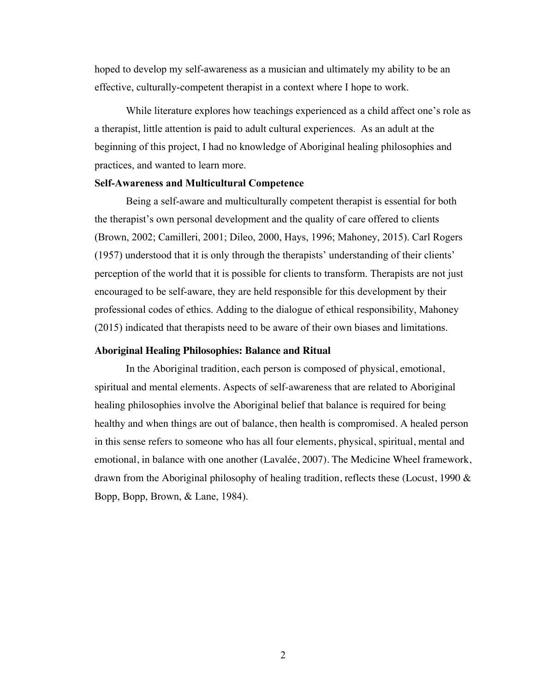hoped to develop my self-awareness as a musician and ultimately my ability to be an effective, culturally-competent therapist in a context where I hope to work.

While literature explores how teachings experienced as a child affect one's role as a therapist, little attention is paid to adult cultural experiences. As an adult at the beginning of this project, I had no knowledge of Aboriginal healing philosophies and practices, and wanted to learn more.

#### <span id="page-10-0"></span>**Self-Awareness and Multicultural Competence**

Being a self-aware and multiculturally competent therapist is essential for both the therapist's own personal development and the quality of care offered to clients (Brown, 2002; Camilleri, 2001; Dileo, 2000, Hays, 1996; Mahoney, 2015). Carl Rogers (1957) understood that it is only through the therapists' understanding of their clients' perception of the world that it is possible for clients to transform. Therapists are not just encouraged to be self-aware, they are held responsible for this development by their professional codes of ethics. Adding to the dialogue of ethical responsibility, Mahoney (2015) indicated that therapists need to be aware of their own biases and limitations.

## **Aboriginal Healing Philosophies: Balance and Ritual**

In the Aboriginal tradition, each person is composed of physical, emotional, spiritual and mental elements. Aspects of self-awareness that are related to Aboriginal healing philosophies involve the Aboriginal belief that balance is required for being healthy and when things are out of balance, then health is compromised. A healed person in this sense refers to someone who has all four elements, physical, spiritual, mental and emotional, in balance with one another (Lavalée, 2007). The Medicine Wheel framework, drawn from the Aboriginal philosophy of healing tradition, reflects these (Locust, 1990  $\&$ Bopp, Bopp, Brown, & Lane, 1984).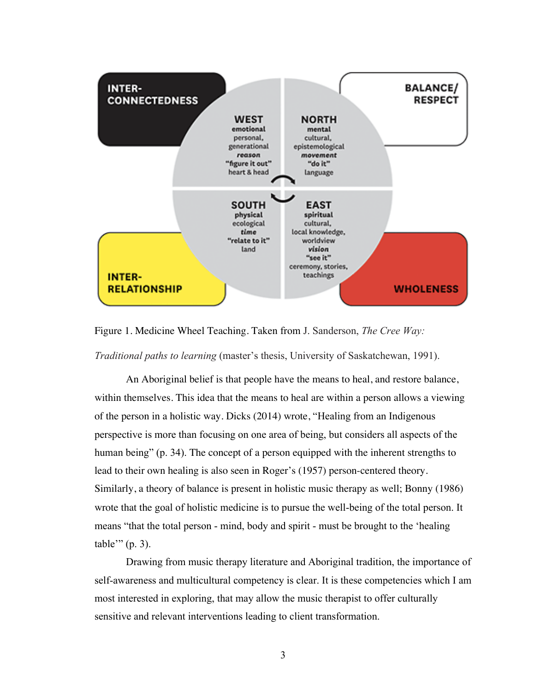

Figure 1. Medicine Wheel Teaching. Taken from J. Sanderson, *The Cree Way:*

*Traditional paths to learning* (master's thesis, University of Saskatchewan, 1991).

An Aboriginal belief is that people have the means to heal, and restore balance, within themselves. This idea that the means to heal are within a person allows a viewing of the person in a holistic way. Dicks (2014) wrote, "Healing from an Indigenous perspective is more than focusing on one area of being, but considers all aspects of the human being" (p. 34). The concept of a person equipped with the inherent strengths to lead to their own healing is also seen in Roger's (1957) person-centered theory. Similarly, a theory of balance is present in holistic music therapy as well; Bonny (1986) wrote that the goal of holistic medicine is to pursue the well-being of the total person. It means "that the total person - mind, body and spirit - must be brought to the 'healing table'" (p. 3).

Drawing from music therapy literature and Aboriginal tradition, the importance of self-awareness and multicultural competency is clear. It is these competencies which I am most interested in exploring, that may allow the music therapist to offer culturally sensitive and relevant interventions leading to client transformation.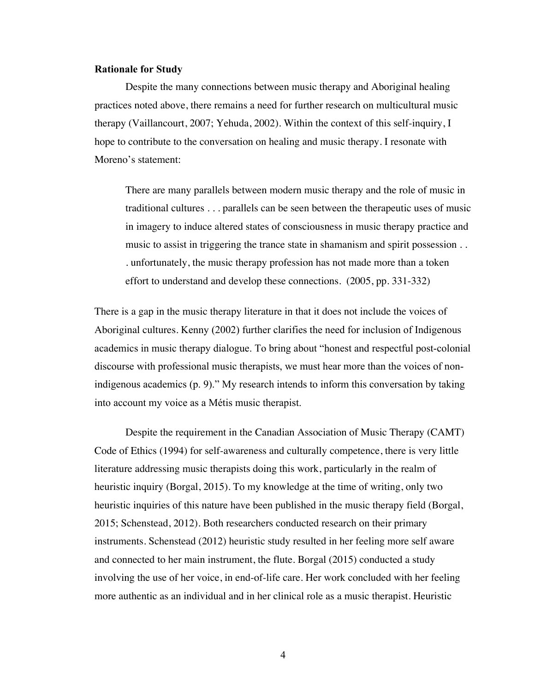#### <span id="page-12-0"></span>**Rationale for Study**

Despite the many connections between music therapy and Aboriginal healing practices noted above, there remains a need for further research on multicultural music therapy (Vaillancourt, 2007; Yehuda, 2002). Within the context of this self-inquiry, I hope to contribute to the conversation on healing and music therapy. I resonate with Moreno's statement:

There are many parallels between modern music therapy and the role of music in traditional cultures . . . parallels can be seen between the therapeutic uses of music in imagery to induce altered states of consciousness in music therapy practice and music to assist in triggering the trance state in shamanism and spirit possession . . . unfortunately, the music therapy profession has not made more than a token effort to understand and develop these connections. (2005, pp. 331-332)

There is a gap in the music therapy literature in that it does not include the voices of Aboriginal cultures. Kenny (2002) further clarifies the need for inclusion of Indigenous academics in music therapy dialogue. To bring about "honest and respectful post-colonial discourse with professional music therapists, we must hear more than the voices of nonindigenous academics (p. 9)." My research intends to inform this conversation by taking into account my voice as a Métis music therapist.

Despite the requirement in the Canadian Association of Music Therapy (CAMT) Code of Ethics (1994) for self-awareness and culturally competence, there is very little literature addressing music therapists doing this work, particularly in the realm of heuristic inquiry (Borgal, 2015). To my knowledge at the time of writing, only two heuristic inquiries of this nature have been published in the music therapy field (Borgal, 2015; Schenstead, 2012). Both researchers conducted research on their primary instruments. Schenstead (2012) heuristic study resulted in her feeling more self aware and connected to her main instrument, the flute. Borgal (2015) conducted a study involving the use of her voice, in end-of-life care. Her work concluded with her feeling more authentic as an individual and in her clinical role as a music therapist. Heuristic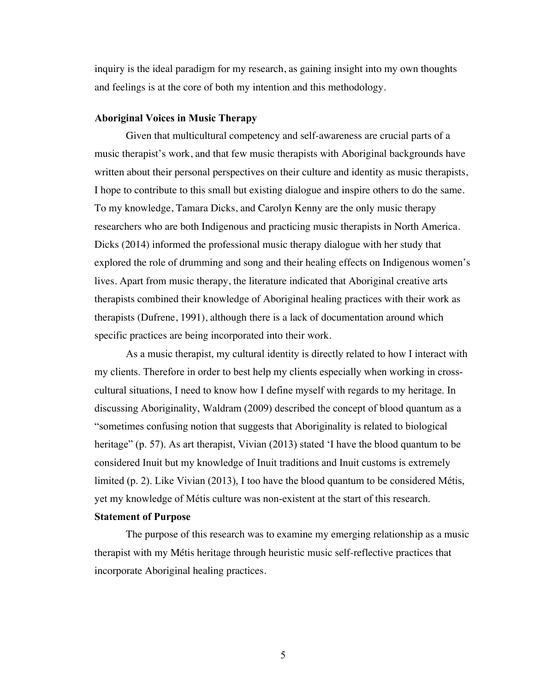inquiry is the ideal paradigm for my research, as gaining insight into my own thoughts and feelings is at the core of both my intention and this methodology.

#### **Aboriginal Voices in Music Therapy**

Given that multicultural competency and self-awareness are crucial parts of a music therapist's work, and that few music therapists with Aboriginal backgrounds have written about their personal perspectives on their culture and identity as music therapists, I hope to contribute to this small but existing dialogue and inspire others to do the same. To my knowledge, Tamara Dicks, and Carolyn Kenny are the only music therapy researchers who are both Indigenous and practicing music therapists in North America. Dicks (2014) informed the professional music therapy dialogue with her study that explored the role of drumming and song and their healing effects on Indigenous women's lives. Apart from music therapy, the literature indicated that Aboriginal creative arts therapists combined their knowledge of Aboriginal healing practices with their work as therapists (Dufrene, 1991), although there is a lack of documentation around which specific practices are being incorporated into their work.

As a music therapist, my cultural identity is directly related to how I interact with my clients. Therefore in order to best help my clients especially when working in crosscultural situations, I need to know how I define myself with regards to my heritage. In discussing Aboriginality, Waldram (2009) described the concept of blood quantum as a "sometimes confusing notion that suggests that Aboriginality is related to biological heritage" (p. 57). As art therapist, Vivian (2013) stated 'I have the blood quantum to be considered Inuit but my knowledge of Inuit traditions and Inuit customs is extremely limited (p. 2). Like Vivian (2013), I too have the blood quantum to be considered Métis, yet my knowledge of Métis culture was non-existent at the start of this research.

#### <span id="page-13-0"></span>**Statement of Purpose**

The purpose of this research was to examine my emerging relationship as a music therapist with my Métis heritage through heuristic music self-reflective practices that incorporate Aboriginal healing practices.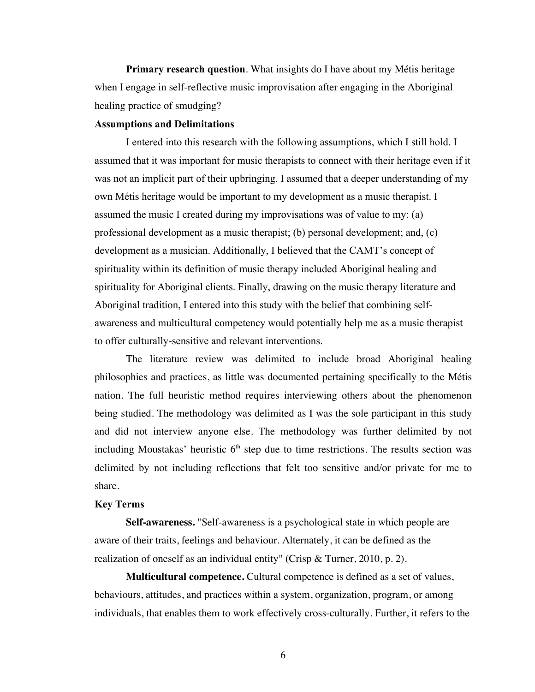**Primary research question**. What insights do I have about my Métis heritage when I engage in self-reflective music improvisation after engaging in the Aboriginal healing practice of smudging?

## <span id="page-14-0"></span>**Assumptions and Delimitations**

I entered into this research with the following assumptions, which I still hold. I assumed that it was important for music therapists to connect with their heritage even if it was not an implicit part of their upbringing. I assumed that a deeper understanding of my own Métis heritage would be important to my development as a music therapist. I assumed the music I created during my improvisations was of value to my: (a) professional development as a music therapist; (b) personal development; and, (c) development as a musician. Additionally, I believed that the CAMT's concept of spirituality within its definition of music therapy included Aboriginal healing and spirituality for Aboriginal clients. Finally, drawing on the music therapy literature and Aboriginal tradition, I entered into this study with the belief that combining selfawareness and multicultural competency would potentially help me as a music therapist to offer culturally-sensitive and relevant interventions.

The literature review was delimited to include broad Aboriginal healing philosophies and practices, as little was documented pertaining specifically to the Métis nation. The full heuristic method requires interviewing others about the phenomenon being studied. The methodology was delimited as I was the sole participant in this study and did not interview anyone else. The methodology was further delimited by not including Moustakas' heuristic  $6<sup>th</sup>$  step due to time restrictions. The results section was delimited by not including reflections that felt too sensitive and/or private for me to share.

#### <span id="page-14-1"></span>**Key Terms**

**Self-awareness.** "Self-awareness is a psychological state in which people are aware of their traits, feelings and behaviour. Alternately, it can be defined as the realization of oneself as an individual entity" (Crisp & Turner, 2010, p. 2).

**Multicultural competence.** Cultural competence is defined as a set of values, behaviours, attitudes, and practices within a system, organization, program, or among individuals, that enables them to work effectively cross-culturally. Further, it refers to the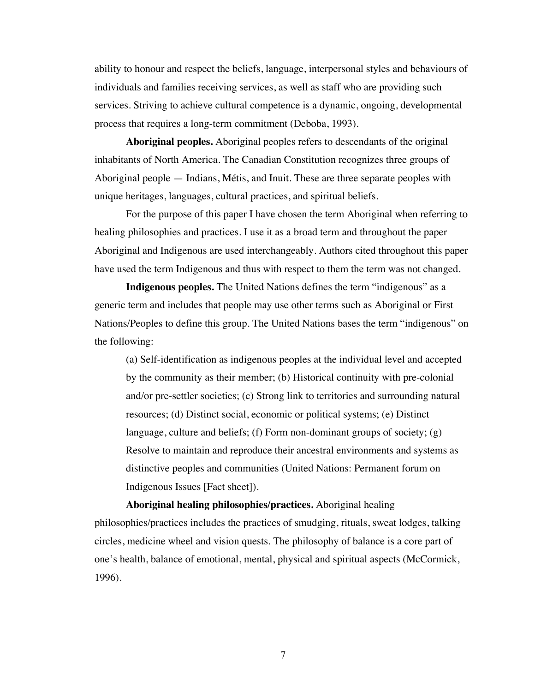ability to honour and respect the beliefs, language, interpersonal styles and behaviours of individuals and families receiving services, as well as staff who are providing such services. Striving to achieve cultural competence is a dynamic, ongoing, developmental process that requires a long-term commitment (Deboba, 1993).

**Aboriginal peoples.** Aboriginal peoples refers to descendants of the original inhabitants of North America. The Canadian Constitution recognizes three groups of Aboriginal people — Indians, Métis, and Inuit. These are three separate peoples with unique heritages, languages, cultural practices, and spiritual beliefs.

For the purpose of this paper I have chosen the term Aboriginal when referring to healing philosophies and practices. I use it as a broad term and throughout the paper Aboriginal and Indigenous are used interchangeably. Authors cited throughout this paper have used the term Indigenous and thus with respect to them the term was not changed.

**Indigenous peoples.** The United Nations defines the term "indigenous" as a generic term and includes that people may use other terms such as Aboriginal or First Nations/Peoples to define this group. The United Nations bases the term "indigenous" on the following:

(a) Self-identification as indigenous peoples at the individual level and accepted by the community as their member; (b) Historical continuity with pre-colonial and/or pre-settler societies; (c) Strong link to territories and surrounding natural resources; (d) Distinct social, economic or political systems; (e) Distinct language, culture and beliefs; (f) Form non-dominant groups of society; (g) Resolve to maintain and reproduce their ancestral environments and systems as distinctive peoples and communities (United Nations: Permanent forum on Indigenous Issues [Fact sheet]).

**Aboriginal healing philosophies***/***practices.** Aboriginal healing philosophies/practices includes the practices of smudging, rituals, sweat lodges, talking circles, medicine wheel and vision quests. The philosophy of balance is a core part of one's health, balance of emotional, mental, physical and spiritual aspects (McCormick, 1996).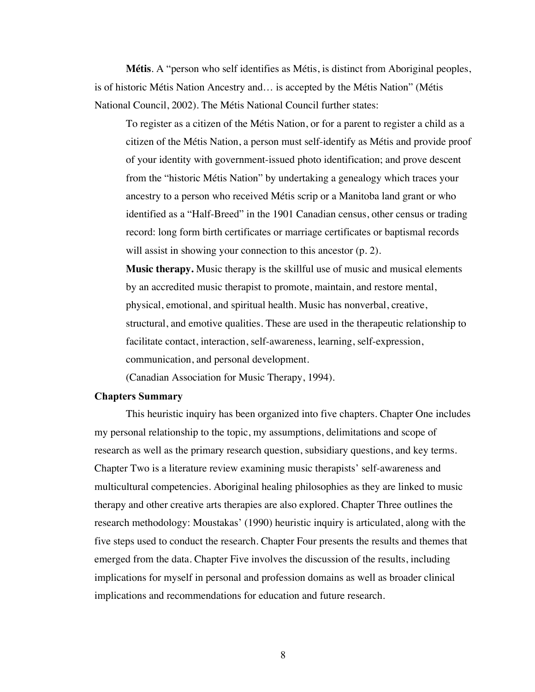**Métis**. A "person who self identifies as Métis, is distinct from Aboriginal peoples, is of historic Métis Nation Ancestry and… is accepted by the Métis Nation" (Métis National Council, 2002). The Métis National Council further states:

To register as a citizen of the Métis Nation, or for a parent to register a child as a citizen of the Métis Nation, a person must self-identify as Métis and provide proof of your identity with government-issued photo identification; and prove descent from the "historic Métis Nation" by undertaking a genealogy which traces your ancestry to a person who received Métis scrip or a Manitoba land grant or who identified as a "Half-Breed" in the 1901 Canadian census, other census or trading record: long form birth certificates or marriage certificates or baptismal records will assist in showing your connection to this ancestor  $(p, 2)$ .

**Music therapy.** Music therapy is the skillful use of music and musical elements by an accredited music therapist to promote, maintain, and restore mental, physical, emotional, and spiritual health. Music has nonverbal, creative, structural, and emotive qualities. These are used in the therapeutic relationship to facilitate contact, interaction, self-awareness, learning, self-expression, communication, and personal development.

(Canadian Association for Music Therapy, 1994).

# <span id="page-16-0"></span>**Chapters Summary**

This heuristic inquiry has been organized into five chapters. Chapter One includes my personal relationship to the topic, my assumptions, delimitations and scope of research as well as the primary research question, subsidiary questions, and key terms. Chapter Two is a literature review examining music therapists' self-awareness and multicultural competencies. Aboriginal healing philosophies as they are linked to music therapy and other creative arts therapies are also explored. Chapter Three outlines the research methodology: Moustakas' (1990) heuristic inquiry is articulated, along with the five steps used to conduct the research. Chapter Four presents the results and themes that emerged from the data. Chapter Five involves the discussion of the results, including implications for myself in personal and profession domains as well as broader clinical implications and recommendations for education and future research.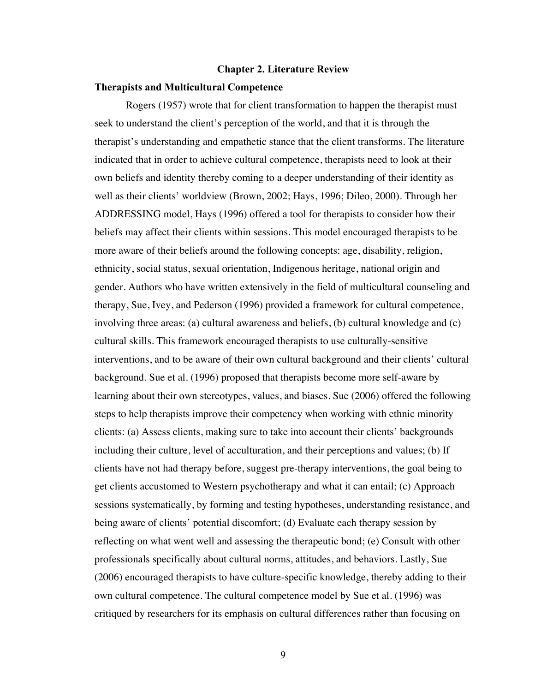#### <span id="page-17-0"></span>**Chapter 2. Literature Review**

#### <span id="page-17-1"></span>**Therapists and Multicultural Competence**

Rogers (1957) wrote that for client transformation to happen the therapist must seek to understand the client's perception of the world, and that it is through the therapist's understanding and empathetic stance that the client transforms. The literature indicated that in order to achieve cultural competence, therapists need to look at their own beliefs and identity thereby coming to a deeper understanding of their identity as well as their clients' worldview (Brown, 2002; Hays, 1996; Dileo, 2000). Through her ADDRESSING model, Hays (1996) offered a tool for therapists to consider how their beliefs may affect their clients within sessions. This model encouraged therapists to be more aware of their beliefs around the following concepts: age, disability, religion, ethnicity, social status, sexual orientation, Indigenous heritage, national origin and gender. Authors who have written extensively in the field of multicultural counseling and therapy, Sue, Ivey, and Pederson (1996) provided a framework for cultural competence, involving three areas: (a) cultural awareness and beliefs, (b) cultural knowledge and (c) cultural skills. This framework encouraged therapists to use culturally-sensitive interventions, and to be aware of their own cultural background and their clients' cultural background. Sue et al. (1996) proposed that therapists become more self-aware by learning about their own stereotypes, values, and biases. Sue (2006) offered the following steps to help therapists improve their competency when working with ethnic minority clients: (a) Assess clients, making sure to take into account their clients' backgrounds including their culture, level of acculturation, and their perceptions and values; (b) If clients have not had therapy before, suggest pre-therapy interventions, the goal being to get clients accustomed to Western psychotherapy and what it can entail; (c) Approach sessions systematically, by forming and testing hypotheses, understanding resistance, and being aware of clients' potential discomfort; (d) Evaluate each therapy session by reflecting on what went well and assessing the therapeutic bond; (e) Consult with other professionals specifically about cultural norms, attitudes, and behaviors. Lastly, Sue (2006) encouraged therapists to have culture-specific knowledge, thereby adding to their own cultural competence. The cultural competence model by Sue et al. (1996) was critiqued by researchers for its emphasis on cultural differences rather than focusing on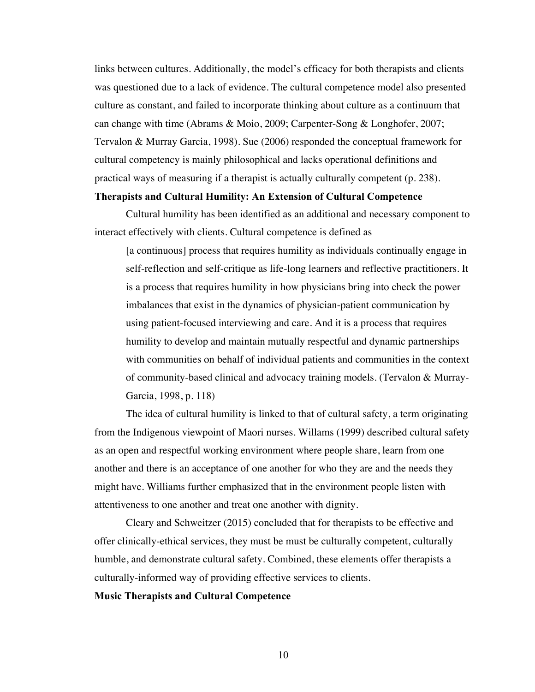links between cultures. Additionally, the model's efficacy for both therapists and clients was questioned due to a lack of evidence. The cultural competence model also presented culture as constant, and failed to incorporate thinking about culture as a continuum that can change with time (Abrams & Moio, 2009; Carpenter-Song & Longhofer, 2007; Tervalon & Murray Garcia, 1998). Sue (2006) responded the conceptual framework for cultural competency is mainly philosophical and lacks operational definitions and practical ways of measuring if a therapist is actually culturally competent (p. 238).

#### **Therapists and Cultural Humility: An Extension of Cultural Competence**

Cultural humility has been identified as an additional and necessary component to interact effectively with clients. Cultural competence is defined as

[a continuous] process that requires humility as individuals continually engage in self-reflection and self-critique as life-long learners and reflective practitioners. It is a process that requires humility in how physicians bring into check the power imbalances that exist in the dynamics of physician-patient communication by using patient-focused interviewing and care. And it is a process that requires humility to develop and maintain mutually respectful and dynamic partnerships with communities on behalf of individual patients and communities in the context of community-based clinical and advocacy training models. (Tervalon & Murray-Garcia, 1998, p. 118)

The idea of cultural humility is linked to that of cultural safety, a term originating from the Indigenous viewpoint of Maori nurses. Willams (1999) described cultural safety as an open and respectful working environment where people share, learn from one another and there is an acceptance of one another for who they are and the needs they might have. Williams further emphasized that in the environment people listen with attentiveness to one another and treat one another with dignity.

Cleary and Schweitzer (2015) concluded that for therapists to be effective and offer clinically-ethical services, they must be must be culturally competent, culturally humble, and demonstrate cultural safety. Combined, these elements offer therapists a culturally-informed way of providing effective services to clients.

# **Music Therapists and Cultural Competence**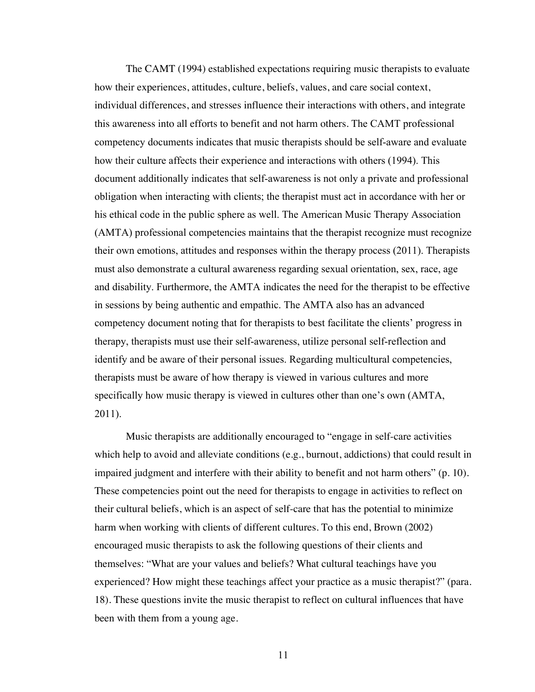The CAMT (1994) established expectations requiring music therapists to evaluate how their experiences, attitudes, culture, beliefs, values, and care social context, individual differences, and stresses influence their interactions with others, and integrate this awareness into all efforts to benefit and not harm others. The CAMT professional competency documents indicates that music therapists should be self-aware and evaluate how their culture affects their experience and interactions with others (1994). This document additionally indicates that self-awareness is not only a private and professional obligation when interacting with clients; the therapist must act in accordance with her or his ethical code in the public sphere as well. The American Music Therapy Association (AMTA) professional competencies maintains that the therapist recognize must recognize their own emotions, attitudes and responses within the therapy process (2011). Therapists must also demonstrate a cultural awareness regarding sexual orientation, sex, race, age and disability. Furthermore, the AMTA indicates the need for the therapist to be effective in sessions by being authentic and empathic. The AMTA also has an advanced competency document noting that for therapists to best facilitate the clients' progress in therapy, therapists must use their self-awareness, utilize personal self-reflection and identify and be aware of their personal issues. Regarding multicultural competencies, therapists must be aware of how therapy is viewed in various cultures and more specifically how music therapy is viewed in cultures other than one's own (AMTA, 2011).

Music therapists are additionally encouraged to "engage in self-care activities which help to avoid and alleviate conditions (e.g., burnout, addictions) that could result in impaired judgment and interfere with their ability to benefit and not harm others" (p. 10). These competencies point out the need for therapists to engage in activities to reflect on their cultural beliefs, which is an aspect of self-care that has the potential to minimize harm when working with clients of different cultures. To this end, Brown (2002) encouraged music therapists to ask the following questions of their clients and themselves: "What are your values and beliefs? What cultural teachings have you experienced? How might these teachings affect your practice as a music therapist?" (para. 18). These questions invite the music therapist to reflect on cultural influences that have been with them from a young age.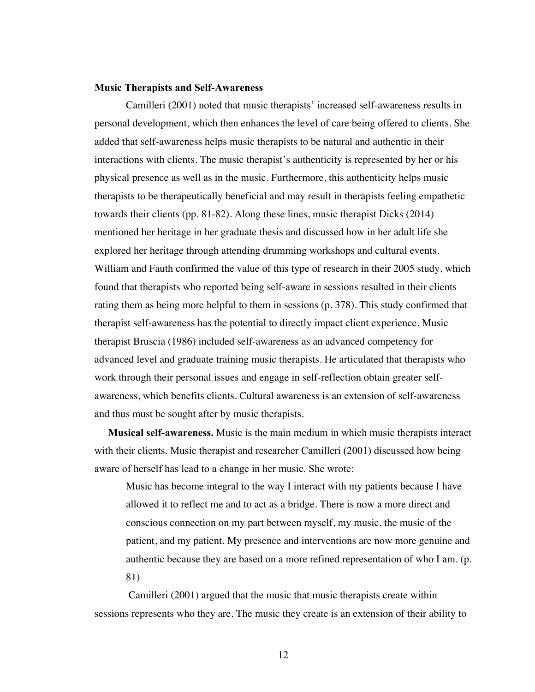#### <span id="page-20-0"></span>**Music Therapists and Self-Awareness**

Camilleri (2001) noted that music therapists' increased self-awareness results in personal development, which then enhances the level of care being offered to clients. She added that self-awareness helps music therapists to be natural and authentic in their interactions with clients. The music therapist's authenticity is represented by her or his physical presence as well as in the music. Furthermore, this authenticity helps music therapists to be therapeutically beneficial and may result in therapists feeling empathetic towards their clients (pp. 81-82). Along these lines, music therapist Dicks (2014) mentioned her heritage in her graduate thesis and discussed how in her adult life she explored her heritage through attending drumming workshops and cultural events. William and Fauth confirmed the value of this type of research in their 2005 study, which found that therapists who reported being self-aware in sessions resulted in their clients rating them as being more helpful to them in sessions (p. 378). This study confirmed that therapist self-awareness has the potential to directly impact client experience. Music therapist Bruscia (1986) included self-awareness as an advanced competency for advanced level and graduate training music therapists. He articulated that therapists who work through their personal issues and engage in self-reflection obtain greater selfawareness, which benefits clients. Cultural awareness is an extension of self-awareness and thus must be sought after by music therapists.

**Musical self-awareness.** Music is the main medium in which music therapists interact with their clients. Music therapist and researcher Camilleri (2001) discussed how being aware of herself has lead to a change in her music. She wrote:

Music has become integral to the way I interact with my patients because I have allowed it to reflect me and to act as a bridge. There is now a more direct and conscious connection on my part between myself, my music, the music of the patient, and my patient. My presence and interventions are now more genuine and authentic because they are based on a more refined representation of who I am. (p. 81)

Camilleri (2001) argued that the music that music therapists create within sessions represents who they are. The music they create is an extension of their ability to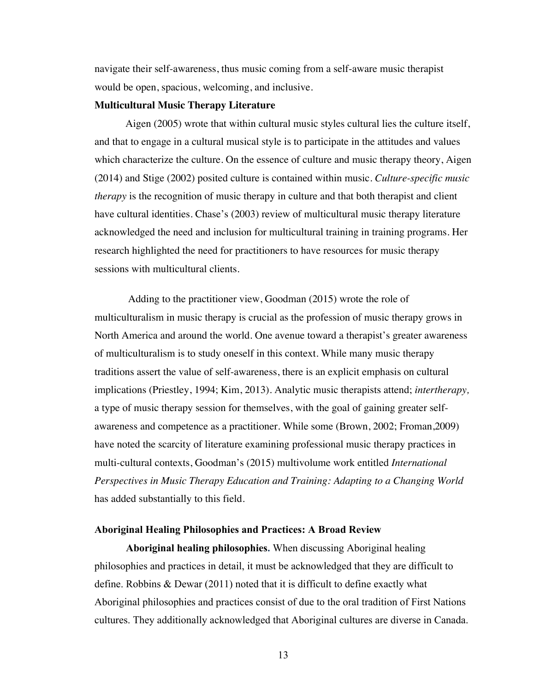navigate their self-awareness, thus music coming from a self-aware music therapist would be open, spacious, welcoming, and inclusive.

#### **Multicultural Music Therapy Literature**

Aigen (2005) wrote that within cultural music styles cultural lies the culture itself, and that to engage in a cultural musical style is to participate in the attitudes and values which characterize the culture. On the essence of culture and music therapy theory, Aigen (2014) and Stige (2002) posited culture is contained within music. *Culture-specific music therapy* is the recognition of music therapy in culture and that both therapist and client have cultural identities*.* Chase's (2003) review of multicultural music therapy literature acknowledged the need and inclusion for multicultural training in training programs. Her research highlighted the need for practitioners to have resources for music therapy sessions with multicultural clients.

Adding to the practitioner view, Goodman (2015) wrote the role of multiculturalism in music therapy is crucial as the profession of music therapy grows in North America and around the world. One avenue toward a therapist's greater awareness of multiculturalism is to study oneself in this context. While many music therapy traditions assert the value of self-awareness, there is an explicit emphasis on cultural implications (Priestley, 1994; Kim, 2013). Analytic music therapists attend; *intertherapy,*  a type of music therapy session for themselves, with the goal of gaining greater selfawareness and competence as a practitioner. While some (Brown, 2002; Froman,2009) have noted the scarcity of literature examining professional music therapy practices in multi-cultural contexts, Goodman's (2015) multivolume work entitled *International Perspectives in Music Therapy Education and Training: Adapting to a Changing World* has added substantially to this field.

### <span id="page-21-0"></span>**Aboriginal Healing Philosophies and Practices: A Broad Review**

**Aboriginal healing philosophies.** When discussing Aboriginal healing philosophies and practices in detail, it must be acknowledged that they are difficult to define. Robbins & Dewar (2011) noted that it is difficult to define exactly what Aboriginal philosophies and practices consist of due to the oral tradition of First Nations cultures. They additionally acknowledged that Aboriginal cultures are diverse in Canada.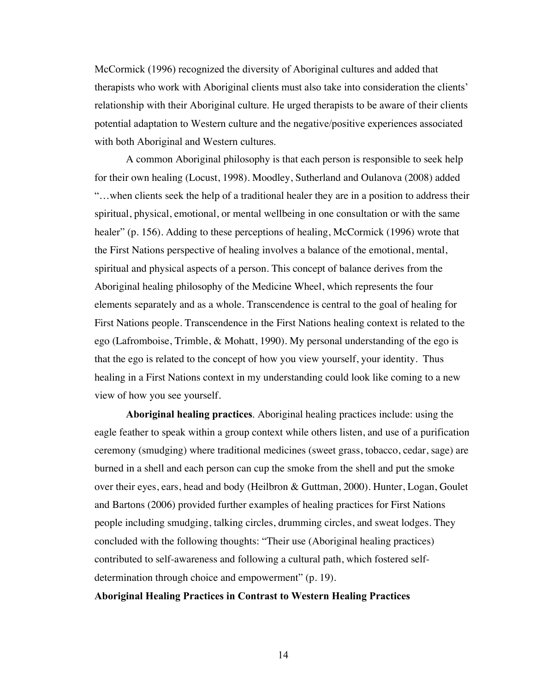McCormick (1996) recognized the diversity of Aboriginal cultures and added that therapists who work with Aboriginal clients must also take into consideration the clients' relationship with their Aboriginal culture. He urged therapists to be aware of their clients potential adaptation to Western culture and the negative/positive experiences associated with both Aboriginal and Western cultures.

A common Aboriginal philosophy is that each person is responsible to seek help for their own healing (Locust, 1998). Moodley, Sutherland and Oulanova (2008) added "…when clients seek the help of a traditional healer they are in a position to address their spiritual, physical, emotional, or mental wellbeing in one consultation or with the same healer" (p. 156). Adding to these perceptions of healing, McCormick (1996) wrote that the First Nations perspective of healing involves a balance of the emotional, mental, spiritual and physical aspects of a person. This concept of balance derives from the Aboriginal healing philosophy of the Medicine Wheel, which represents the four elements separately and as a whole. Transcendence is central to the goal of healing for First Nations people. Transcendence in the First Nations healing context is related to the ego (Lafromboise, Trimble, & Mohatt, 1990). My personal understanding of the ego is that the ego is related to the concept of how you view yourself, your identity. Thus healing in a First Nations context in my understanding could look like coming to a new view of how you see yourself.

**Aboriginal healing practices**. Aboriginal healing practices include: using the eagle feather to speak within a group context while others listen, and use of a purification ceremony (smudging) where traditional medicines (sweet grass, tobacco, cedar, sage) are burned in a shell and each person can cup the smoke from the shell and put the smoke over their eyes, ears, head and body (Heilbron & Guttman, 2000). Hunter, Logan, Goulet and Bartons (2006) provided further examples of healing practices for First Nations people including smudging, talking circles, drumming circles, and sweat lodges. They concluded with the following thoughts: "Their use (Aboriginal healing practices) contributed to self-awareness and following a cultural path, which fostered selfdetermination through choice and empowerment" (p. 19).

# **Aboriginal Healing Practices in Contrast to Western Healing Practices**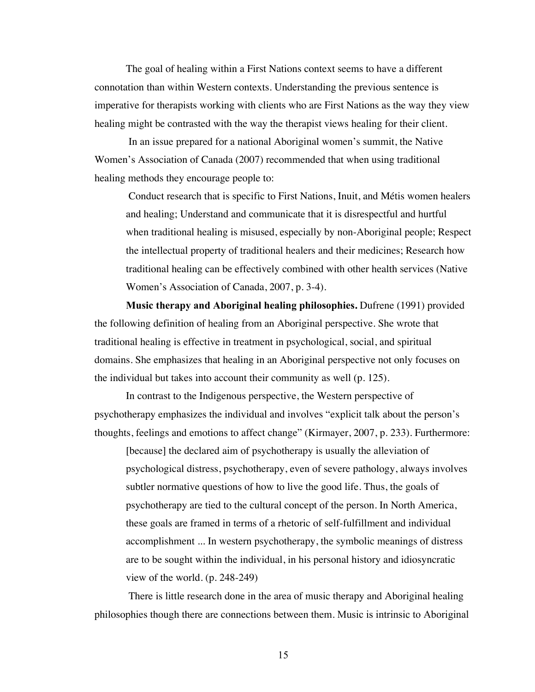The goal of healing within a First Nations context seems to have a different connotation than within Western contexts. Understanding the previous sentence is imperative for therapists working with clients who are First Nations as the way they view healing might be contrasted with the way the therapist views healing for their client.

In an issue prepared for a national Aboriginal women's summit, the Native Women's Association of Canada (2007) recommended that when using traditional healing methods they encourage people to:

Conduct research that is specific to First Nations, Inuit, and Métis women healers and healing; Understand and communicate that it is disrespectful and hurtful when traditional healing is misused, especially by non-Aboriginal people; Respect the intellectual property of traditional healers and their medicines; Research how traditional healing can be effectively combined with other health services (Native Women's Association of Canada, 2007, p. 3-4).

**Music therapy and Aboriginal healing philosophies.** Dufrene (1991) provided the following definition of healing from an Aboriginal perspective. She wrote that traditional healing is effective in treatment in psychological, social, and spiritual domains. She emphasizes that healing in an Aboriginal perspective not only focuses on the individual but takes into account their community as well (p. 125).

In contrast to the Indigenous perspective, the Western perspective of psychotherapy emphasizes the individual and involves "explicit talk about the person's thoughts, feelings and emotions to affect change" (Kirmayer, 2007, p. 233). Furthermore:

[because] the declared aim of psychotherapy is usually the alleviation of psychological distress, psychotherapy, even of severe pathology, always involves subtler normative questions of how to live the good life. Thus, the goals of psychotherapy are tied to the cultural concept of the person. In North America, these goals are framed in terms of a rhetoric of self-fulfillment and individual accomplishment ... In western psychotherapy, the symbolic meanings of distress are to be sought within the individual, in his personal history and idiosyncratic view of the world. (p. 248-249)

There is little research done in the area of music therapy and Aboriginal healing philosophies though there are connections between them. Music is intrinsic to Aboriginal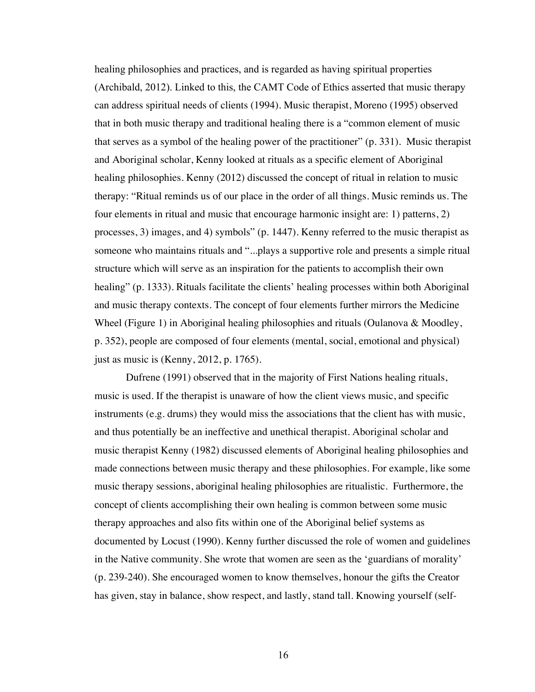healing philosophies and practices, and is regarded as having spiritual properties (Archibald, 2012). Linked to this, the CAMT Code of Ethics asserted that music therapy can address spiritual needs of clients (1994). Music therapist, Moreno (1995) observed that in both music therapy and traditional healing there is a "common element of music that serves as a symbol of the healing power of the practitioner" (p. 331). Music therapist and Aboriginal scholar, Kenny looked at rituals as a specific element of Aboriginal healing philosophies. Kenny (2012) discussed the concept of ritual in relation to music therapy: "Ritual reminds us of our place in the order of all things. Music reminds us. The four elements in ritual and music that encourage harmonic insight are: 1) patterns, 2) processes, 3) images, and 4) symbols" (p. 1447). Kenny referred to the music therapist as someone who maintains rituals and "...plays a supportive role and presents a simple ritual structure which will serve as an inspiration for the patients to accomplish their own healing" (p. 1333). Rituals facilitate the clients' healing processes within both Aboriginal and music therapy contexts. The concept of four elements further mirrors the Medicine Wheel (Figure 1) in Aboriginal healing philosophies and rituals (Oulanova & Moodley, p. 352), people are composed of four elements (mental, social, emotional and physical) just as music is (Kenny, 2012, p. 1765).

Dufrene (1991) observed that in the majority of First Nations healing rituals, music is used. If the therapist is unaware of how the client views music, and specific instruments (e.g. drums) they would miss the associations that the client has with music, and thus potentially be an ineffective and unethical therapist. Aboriginal scholar and music therapist Kenny (1982) discussed elements of Aboriginal healing philosophies and made connections between music therapy and these philosophies. For example, like some music therapy sessions, aboriginal healing philosophies are ritualistic. Furthermore, the concept of clients accomplishing their own healing is common between some music therapy approaches and also fits within one of the Aboriginal belief systems as documented by Locust (1990). Kenny further discussed the role of women and guidelines in the Native community. She wrote that women are seen as the 'guardians of morality' (p. 239-240). She encouraged women to know themselves, honour the gifts the Creator has given, stay in balance, show respect, and lastly, stand tall. Knowing yourself (self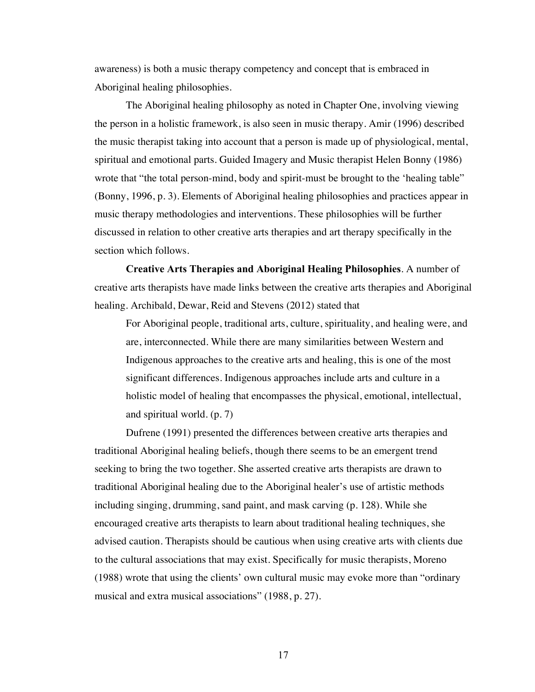awareness) is both a music therapy competency and concept that is embraced in Aboriginal healing philosophies.

The Aboriginal healing philosophy as noted in Chapter One, involving viewing the person in a holistic framework, is also seen in music therapy. Amir (1996) described the music therapist taking into account that a person is made up of physiological, mental, spiritual and emotional parts. Guided Imagery and Music therapist Helen Bonny (1986) wrote that "the total person-mind, body and spirit-must be brought to the 'healing table" (Bonny, 1996, p. 3). Elements of Aboriginal healing philosophies and practices appear in music therapy methodologies and interventions. These philosophies will be further discussed in relation to other creative arts therapies and art therapy specifically in the section which follows.

**Creative Arts Therapies and Aboriginal Healing Philosophies**. A number of creative arts therapists have made links between the creative arts therapies and Aboriginal healing. Archibald, Dewar, Reid and Stevens (2012) stated that

For Aboriginal people, traditional arts, culture, spirituality, and healing were, and are, interconnected. While there are many similarities between Western and Indigenous approaches to the creative arts and healing, this is one of the most significant differences. Indigenous approaches include arts and culture in a holistic model of healing that encompasses the physical, emotional, intellectual, and spiritual world. (p. 7)

Dufrene (1991) presented the differences between creative arts therapies and traditional Aboriginal healing beliefs, though there seems to be an emergent trend seeking to bring the two together. She asserted creative arts therapists are drawn to traditional Aboriginal healing due to the Aboriginal healer's use of artistic methods including singing, drumming, sand paint, and mask carving (p. 128). While she encouraged creative arts therapists to learn about traditional healing techniques, she advised caution. Therapists should be cautious when using creative arts with clients due to the cultural associations that may exist. Specifically for music therapists, Moreno (1988) wrote that using the clients' own cultural music may evoke more than "ordinary musical and extra musical associations" (1988, p. 27).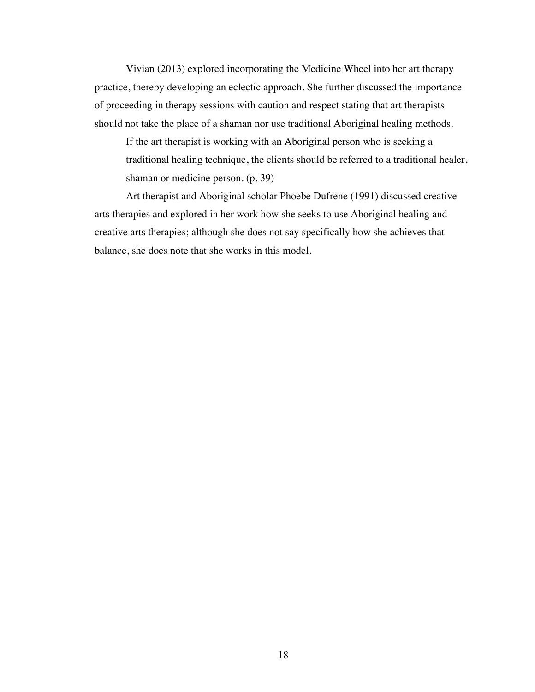Vivian (2013) explored incorporating the Medicine Wheel into her art therapy practice, thereby developing an eclectic approach. She further discussed the importance of proceeding in therapy sessions with caution and respect stating that art therapists should not take the place of a shaman nor use traditional Aboriginal healing methods.

If the art therapist is working with an Aboriginal person who is seeking a traditional healing technique, the clients should be referred to a traditional healer, shaman or medicine person. (p. 39)

Art therapist and Aboriginal scholar Phoebe Dufrene (1991) discussed creative arts therapies and explored in her work how she seeks to use Aboriginal healing and creative arts therapies; although she does not say specifically how she achieves that balance, she does note that she works in this model.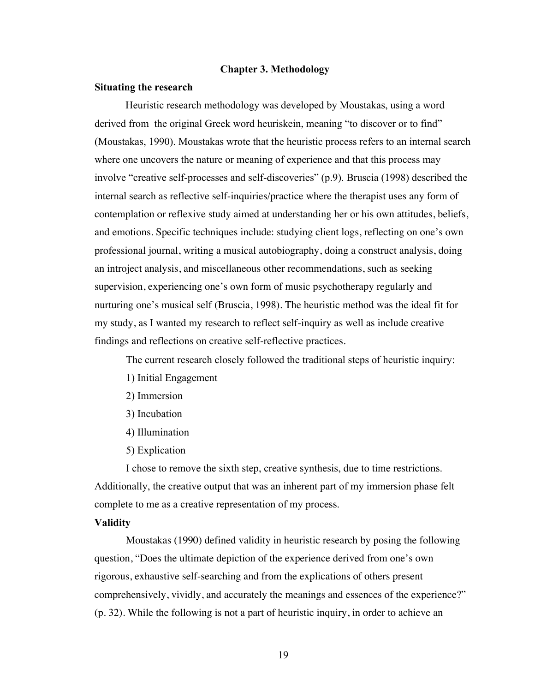#### <span id="page-27-0"></span>**Chapter 3. Methodology**

#### <span id="page-27-1"></span>**Situating the research**

Heuristic research methodology was developed by Moustakas, using a word derived from the original Greek word heuriskein, meaning "to discover or to find" (Moustakas, 1990). Moustakas wrote that the heuristic process refers to an internal search where one uncovers the nature or meaning of experience and that this process may involve "creative self-processes and self-discoveries" (p.9). Bruscia (1998) described the internal search as reflective self-inquiries/practice where the therapist uses any form of contemplation or reflexive study aimed at understanding her or his own attitudes, beliefs, and emotions. Specific techniques include: studying client logs, reflecting on one's own professional journal, writing a musical autobiography, doing a construct analysis, doing an introject analysis, and miscellaneous other recommendations, such as seeking supervision, experiencing one's own form of music psychotherapy regularly and nurturing one's musical self (Bruscia, 1998). The heuristic method was the ideal fit for my study, as I wanted my research to reflect self-inquiry as well as include creative findings and reflections on creative self-reflective practices.

The current research closely followed the traditional steps of heuristic inquiry:

- 1) Initial Engagement
- 2) Immersion
- 3) Incubation
- 4) Illumination
- 5) Explication

I chose to remove the sixth step, creative synthesis, due to time restrictions. Additionally, the creative output that was an inherent part of my immersion phase felt complete to me as a creative representation of my process.

#### <span id="page-27-2"></span>**Validity**

Moustakas (1990) defined validity in heuristic research by posing the following question, "Does the ultimate depiction of the experience derived from one's own rigorous, exhaustive self-searching and from the explications of others present comprehensively, vividly, and accurately the meanings and essences of the experience?" (p. 32). While the following is not a part of heuristic inquiry, in order to achieve an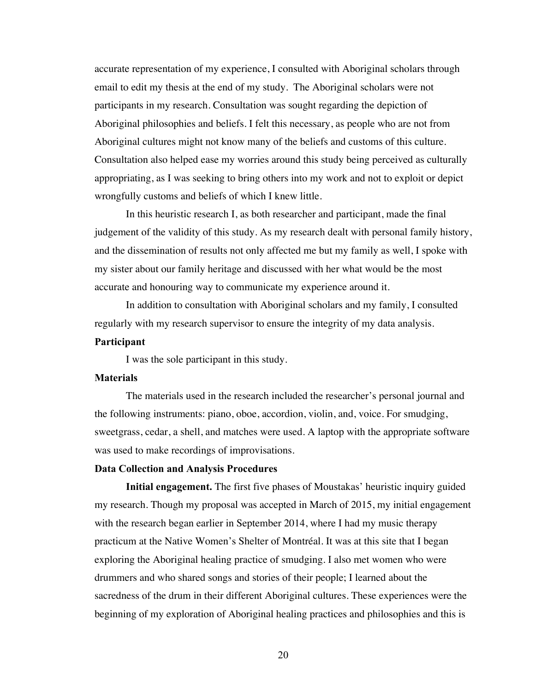accurate representation of my experience, I consulted with Aboriginal scholars through email to edit my thesis at the end of my study. The Aboriginal scholars were not participants in my research. Consultation was sought regarding the depiction of Aboriginal philosophies and beliefs. I felt this necessary, as people who are not from Aboriginal cultures might not know many of the beliefs and customs of this culture. Consultation also helped ease my worries around this study being perceived as culturally appropriating, as I was seeking to bring others into my work and not to exploit or depict wrongfully customs and beliefs of which I knew little.

In this heuristic research I, as both researcher and participant, made the final judgement of the validity of this study. As my research dealt with personal family history, and the dissemination of results not only affected me but my family as well, I spoke with my sister about our family heritage and discussed with her what would be the most accurate and honouring way to communicate my experience around it.

In addition to consultation with Aboriginal scholars and my family, I consulted regularly with my research supervisor to ensure the integrity of my data analysis.

# <span id="page-28-0"></span>**Participant**

I was the sole participant in this study.

### <span id="page-28-1"></span>**Materials**

The materials used in the research included the researcher's personal journal and the following instruments: piano, oboe, accordion, violin, and, voice. For smudging, sweetgrass, cedar, a shell, and matches were used. A laptop with the appropriate software was used to make recordings of improvisations.

#### <span id="page-28-2"></span>**Data Collection and Analysis Procedures**

**Initial engagement.** The first five phases of Moustakas' heuristic inquiry guided my research. Though my proposal was accepted in March of 2015, my initial engagement with the research began earlier in September 2014, where I had my music therapy practicum at the Native Women's Shelter of Montréal. It was at this site that I began exploring the Aboriginal healing practice of smudging. I also met women who were drummers and who shared songs and stories of their people; I learned about the sacredness of the drum in their different Aboriginal cultures. These experiences were the beginning of my exploration of Aboriginal healing practices and philosophies and this is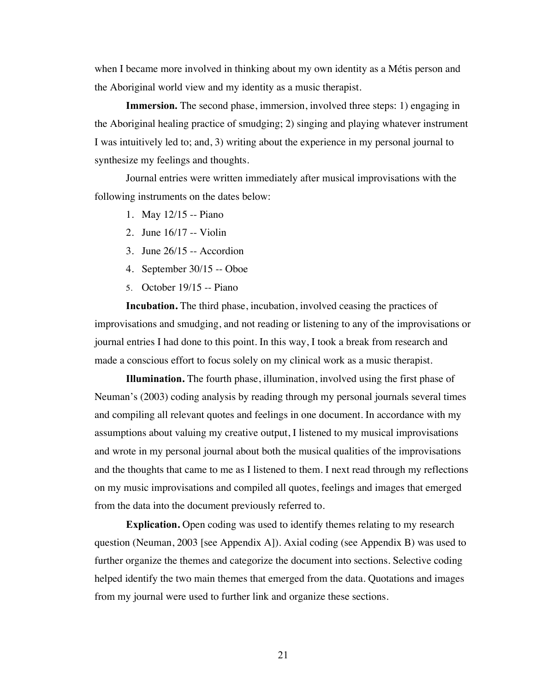when I became more involved in thinking about my own identity as a Métis person and the Aboriginal world view and my identity as a music therapist.

**Immersion.** The second phase, immersion, involved three steps: 1) engaging in the Aboriginal healing practice of smudging; 2) singing and playing whatever instrument I was intuitively led to; and, 3) writing about the experience in my personal journal to synthesize my feelings and thoughts.

Journal entries were written immediately after musical improvisations with the following instruments on the dates below:

- 1. May 12/15 -- Piano
- 2. June 16/17 -- Violin
- 3. June 26/15 -- Accordion
- 4. September 30/15 -- Oboe
- 5. October 19/15 -- Piano

**Incubation.** The third phase, incubation, involved ceasing the practices of improvisations and smudging, and not reading or listening to any of the improvisations or journal entries I had done to this point. In this way, I took a break from research and made a conscious effort to focus solely on my clinical work as a music therapist.

**Illumination.** The fourth phase, illumination, involved using the first phase of Neuman's (2003) coding analysis by reading through my personal journals several times and compiling all relevant quotes and feelings in one document. In accordance with my assumptions about valuing my creative output, I listened to my musical improvisations and wrote in my personal journal about both the musical qualities of the improvisations and the thoughts that came to me as I listened to them. I next read through my reflections on my music improvisations and compiled all quotes, feelings and images that emerged from the data into the document previously referred to.

**Explication.** Open coding was used to identify themes relating to my research question (Neuman, 2003 [see Appendix A]). Axial coding (see Appendix B) was used to further organize the themes and categorize the document into sections. Selective coding helped identify the two main themes that emerged from the data. Quotations and images from my journal were used to further link and organize these sections.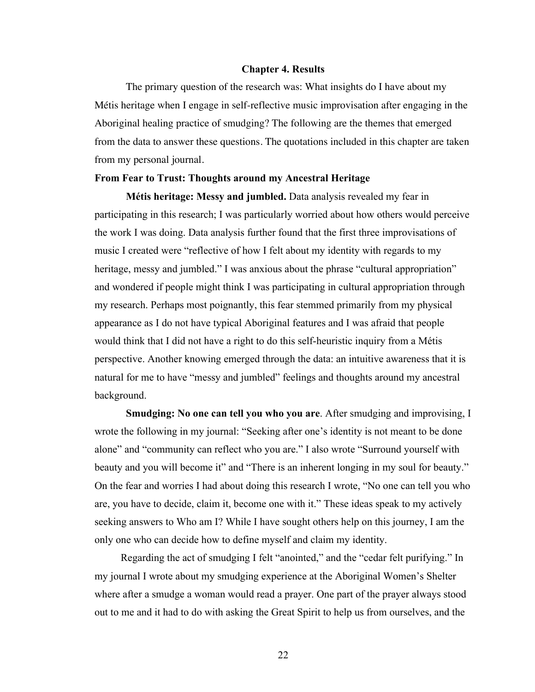#### <span id="page-30-0"></span>**Chapter 4. Results**

The primary question of the research was: What insights do I have about my Métis heritage when I engage in self-reflective music improvisation after engaging in the Aboriginal healing practice of smudging? The following are the themes that emerged from the data to answer these questions. The quotations included in this chapter are taken from my personal journal.

#### <span id="page-30-1"></span>**From Fear to Trust: Thoughts around my Ancestral Heritage**

**Métis heritage: Messy and jumbled.** Data analysis revealed my fear in participating in this research; I was particularly worried about how others would perceive the work I was doing. Data analysis further found that the first three improvisations of music I created were "reflective of how I felt about my identity with regards to my heritage, messy and jumbled." I was anxious about the phrase "cultural appropriation" and wondered if people might think I was participating in cultural appropriation through my research. Perhaps most poignantly, this fear stemmed primarily from my physical appearance as I do not have typical Aboriginal features and I was afraid that people would think that I did not have a right to do this self-heuristic inquiry from a Métis perspective. Another knowing emerged through the data: an intuitive awareness that it is natural for me to have "messy and jumbled" feelings and thoughts around my ancestral background.

**Smudging: No one can tell you who you are**. After smudging and improvising, I wrote the following in my journal: "Seeking after one's identity is not meant to be done alone" and "community can reflect who you are." I also wrote "Surround yourself with beauty and you will become it" and "There is an inherent longing in my soul for beauty." On the fear and worries I had about doing this research I wrote, "No one can tell you who are, you have to decide, claim it, become one with it." These ideas speak to my actively seeking answers to Who am I? While I have sought others help on this journey, I am the only one who can decide how to define myself and claim my identity.

 Regarding the act of smudging I felt "anointed," and the "cedar felt purifying." In my journal I wrote about my smudging experience at the Aboriginal Women's Shelter where after a smudge a woman would read a prayer. One part of the prayer always stood out to me and it had to do with asking the Great Spirit to help us from ourselves, and the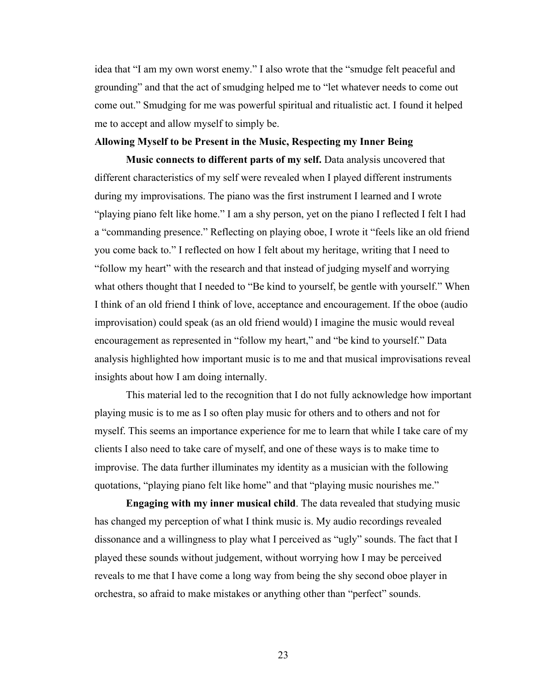idea that "I am my own worst enemy." I also wrote that the "smudge felt peaceful and grounding" and that the act of smudging helped me to "let whatever needs to come out come out." Smudging for me was powerful spiritual and ritualistic act. I found it helped me to accept and allow myself to simply be.

#### <span id="page-31-0"></span>**Allowing Myself to be Present in the Music, Respecting my Inner Being**

**Music connects to different parts of my self.** Data analysis uncovered that different characteristics of my self were revealed when I played different instruments during my improvisations. The piano was the first instrument I learned and I wrote "playing piano felt like home." I am a shy person, yet on the piano I reflected I felt I had a "commanding presence." Reflecting on playing oboe, I wrote it "feels like an old friend you come back to." I reflected on how I felt about my heritage, writing that I need to "follow my heart" with the research and that instead of judging myself and worrying what others thought that I needed to "Be kind to yourself, be gentle with yourself." When I think of an old friend I think of love, acceptance and encouragement. If the oboe (audio improvisation) could speak (as an old friend would) I imagine the music would reveal encouragement as represented in "follow my heart," and "be kind to yourself." Data analysis highlighted how important music is to me and that musical improvisations reveal insights about how I am doing internally.

This material led to the recognition that I do not fully acknowledge how important playing music is to me as I so often play music for others and to others and not for myself. This seems an importance experience for me to learn that while I take care of my clients I also need to take care of myself, and one of these ways is to make time to improvise. The data further illuminates my identity as a musician with the following quotations, "playing piano felt like home" and that "playing music nourishes me."

**Engaging with my inner musical child**. The data revealed that studying music has changed my perception of what I think music is. My audio recordings revealed dissonance and a willingness to play what I perceived as "ugly" sounds. The fact that I played these sounds without judgement, without worrying how I may be perceived reveals to me that I have come a long way from being the shy second oboe player in orchestra, so afraid to make mistakes or anything other than "perfect" sounds.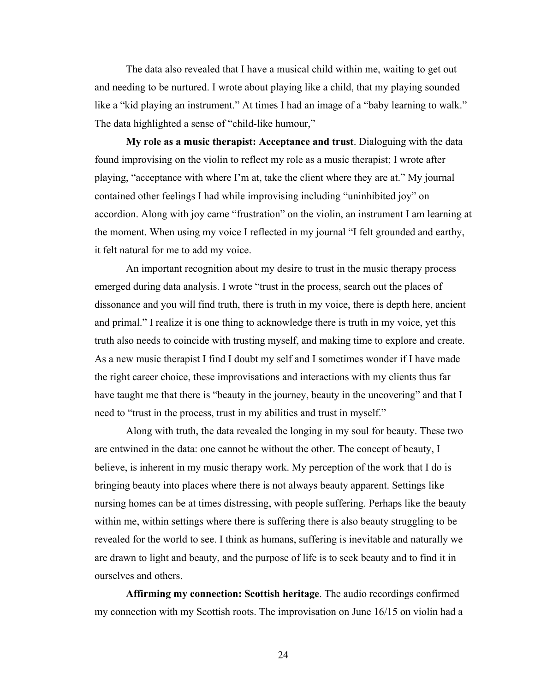The data also revealed that I have a musical child within me, waiting to get out and needing to be nurtured. I wrote about playing like a child, that my playing sounded like a "kid playing an instrument." At times I had an image of a "baby learning to walk." The data highlighted a sense of "child-like humour,"

**My role as a music therapist: Acceptance and trust**. Dialoguing with the data found improvising on the violin to reflect my role as a music therapist; I wrote after playing, "acceptance with where I'm at, take the client where they are at." My journal contained other feelings I had while improvising including "uninhibited joy" on accordion. Along with joy came "frustration" on the violin, an instrument I am learning at the moment. When using my voice I reflected in my journal "I felt grounded and earthy, it felt natural for me to add my voice.

An important recognition about my desire to trust in the music therapy process emerged during data analysis. I wrote "trust in the process, search out the places of dissonance and you will find truth, there is truth in my voice, there is depth here, ancient and primal." I realize it is one thing to acknowledge there is truth in my voice, yet this truth also needs to coincide with trusting myself, and making time to explore and create. As a new music therapist I find I doubt my self and I sometimes wonder if I have made the right career choice, these improvisations and interactions with my clients thus far have taught me that there is "beauty in the journey, beauty in the uncovering" and that I need to "trust in the process, trust in my abilities and trust in myself."

Along with truth, the data revealed the longing in my soul for beauty. These two are entwined in the data: one cannot be without the other. The concept of beauty, I believe, is inherent in my music therapy work. My perception of the work that I do is bringing beauty into places where there is not always beauty apparent. Settings like nursing homes can be at times distressing, with people suffering. Perhaps like the beauty within me, within settings where there is suffering there is also beauty struggling to be revealed for the world to see. I think as humans, suffering is inevitable and naturally we are drawn to light and beauty, and the purpose of life is to seek beauty and to find it in ourselves and others.

**Affirming my connection: Scottish heritage**. The audio recordings confirmed my connection with my Scottish roots. The improvisation on June 16/15 on violin had a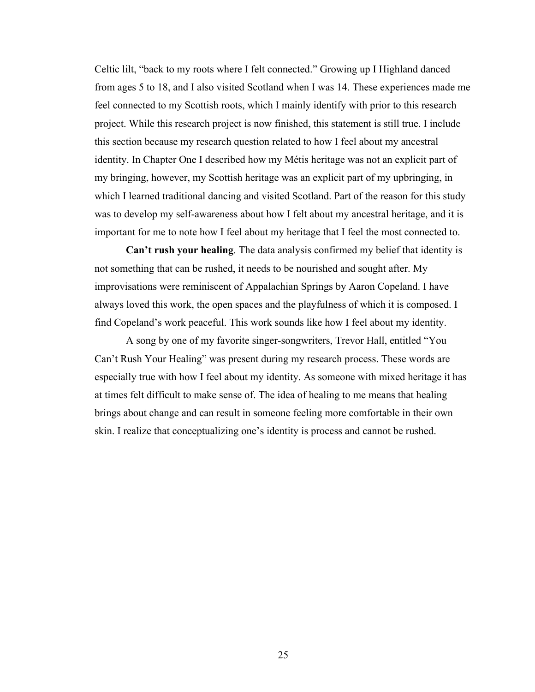Celtic lilt, "back to my roots where I felt connected." Growing up I Highland danced from ages 5 to 18, and I also visited Scotland when I was 14. These experiences made me feel connected to my Scottish roots, which I mainly identify with prior to this research project. While this research project is now finished, this statement is still true. I include this section because my research question related to how I feel about my ancestral identity. In Chapter One I described how my Métis heritage was not an explicit part of my bringing, however, my Scottish heritage was an explicit part of my upbringing, in which I learned traditional dancing and visited Scotland. Part of the reason for this study was to develop my self-awareness about how I felt about my ancestral heritage, and it is important for me to note how I feel about my heritage that I feel the most connected to.

**Can't rush your healing**. The data analysis confirmed my belief that identity is not something that can be rushed, it needs to be nourished and sought after. My improvisations were reminiscent of Appalachian Springs by Aaron Copeland. I have always loved this work, the open spaces and the playfulness of which it is composed. I find Copeland's work peaceful. This work sounds like how I feel about my identity.

A song by one of my favorite singer-songwriters, Trevor Hall, entitled "You Can't Rush Your Healing" was present during my research process. These words are especially true with how I feel about my identity. As someone with mixed heritage it has at times felt difficult to make sense of. The idea of healing to me means that healing brings about change and can result in someone feeling more comfortable in their own skin. I realize that conceptualizing one's identity is process and cannot be rushed.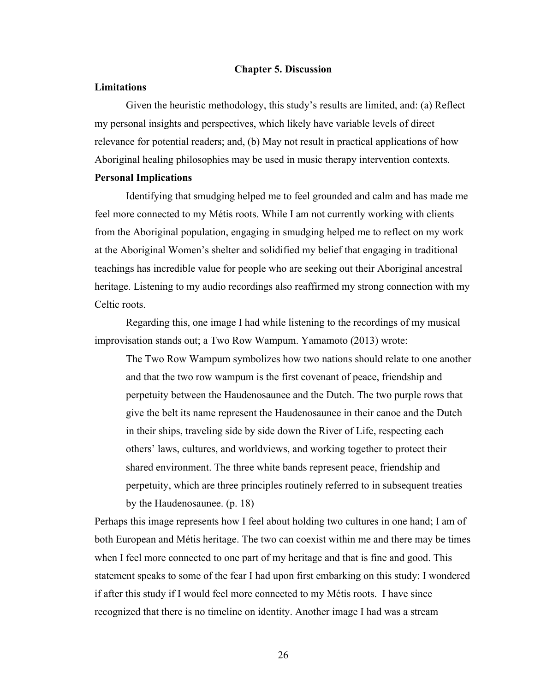#### <span id="page-34-0"></span>**Chapter 5. Discussion**

#### <span id="page-34-1"></span>**Limitations**

Given the heuristic methodology, this study's results are limited, and: (a) Reflect my personal insights and perspectives, which likely have variable levels of direct relevance for potential readers; and, (b) May not result in practical applications of how Aboriginal healing philosophies may be used in music therapy intervention contexts. **Personal Implications**

Identifying that smudging helped me to feel grounded and calm and has made me feel more connected to my Métis roots. While I am not currently working with clients from the Aboriginal population, engaging in smudging helped me to reflect on my work at the Aboriginal Women's shelter and solidified my belief that engaging in traditional teachings has incredible value for people who are seeking out their Aboriginal ancestral heritage. Listening to my audio recordings also reaffirmed my strong connection with my Celtic roots.

Regarding this, one image I had while listening to the recordings of my musical improvisation stands out; a Two Row Wampum. Yamamoto (2013) wrote:

The Two Row Wampum symbolizes how two nations should relate to one another and that the two row wampum is the first covenant of peace, friendship and perpetuity between the Haudenosaunee and the Dutch. The two purple rows that give the belt its name represent the Haudenosaunee in their canoe and the Dutch in their ships, traveling side by side down the River of Life, respecting each others' laws, cultures, and worldviews, and working together to protect their shared environment. The three white bands represent peace, friendship and perpetuity, which are three principles routinely referred to in subsequent treaties by the Haudenosaunee. (p. 18)

Perhaps this image represents how I feel about holding two cultures in one hand; I am of both European and Métis heritage. The two can coexist within me and there may be times when I feel more connected to one part of my heritage and that is fine and good. This statement speaks to some of the fear I had upon first embarking on this study: I wondered if after this study if I would feel more connected to my Métis roots. I have since recognized that there is no timeline on identity. Another image I had was a stream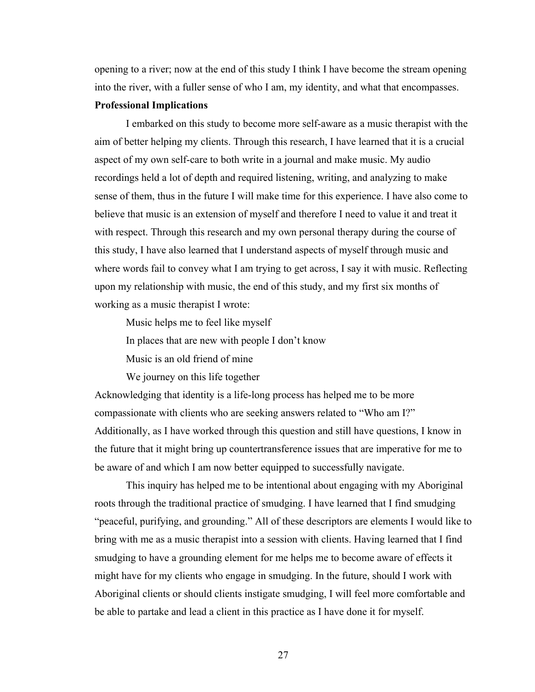opening to a river; now at the end of this study I think I have become the stream opening into the river, with a fuller sense of who I am, my identity, and what that encompasses.

# **Professional Implications**

I embarked on this study to become more self-aware as a music therapist with the aim of better helping my clients. Through this research, I have learned that it is a crucial aspect of my own self-care to both write in a journal and make music. My audio recordings held a lot of depth and required listening, writing, and analyzing to make sense of them, thus in the future I will make time for this experience. I have also come to believe that music is an extension of myself and therefore I need to value it and treat it with respect. Through this research and my own personal therapy during the course of this study, I have also learned that I understand aspects of myself through music and where words fail to convey what I am trying to get across, I say it with music. Reflecting upon my relationship with music, the end of this study, and my first six months of working as a music therapist I wrote:

Music helps me to feel like myself

In places that are new with people I don't know

Music is an old friend of mine

We journey on this life together

Acknowledging that identity is a life-long process has helped me to be more compassionate with clients who are seeking answers related to "Who am I?" Additionally, as I have worked through this question and still have questions, I know in the future that it might bring up countertransference issues that are imperative for me to be aware of and which I am now better equipped to successfully navigate.

This inquiry has helped me to be intentional about engaging with my Aboriginal roots through the traditional practice of smudging. I have learned that I find smudging "peaceful, purifying, and grounding." All of these descriptors are elements I would like to bring with me as a music therapist into a session with clients. Having learned that I find smudging to have a grounding element for me helps me to become aware of effects it might have for my clients who engage in smudging. In the future, should I work with Aboriginal clients or should clients instigate smudging, I will feel more comfortable and be able to partake and lead a client in this practice as I have done it for myself.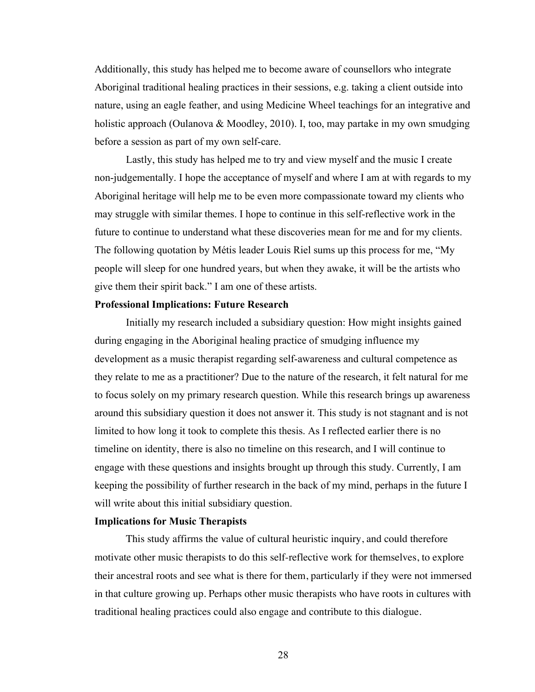Additionally, this study has helped me to become aware of counsellors who integrate Aboriginal traditional healing practices in their sessions, e.g. taking a client outside into nature, using an eagle feather, and using Medicine Wheel teachings for an integrative and holistic approach (Oulanova & Moodley, 2010). I, too, may partake in my own smudging before a session as part of my own self-care.

Lastly, this study has helped me to try and view myself and the music I create non-judgementally. I hope the acceptance of myself and where I am at with regards to my Aboriginal heritage will help me to be even more compassionate toward my clients who may struggle with similar themes. I hope to continue in this self-reflective work in the future to continue to understand what these discoveries mean for me and for my clients. The following quotation by Métis leader Louis Riel sums up this process for me, "My people will sleep for one hundred years, but when they awake, it will be the artists who give them their spirit back." I am one of these artists.

## **Professional Implications: Future Research**

Initially my research included a subsidiary question: How might insights gained during engaging in the Aboriginal healing practice of smudging influence my development as a music therapist regarding self-awareness and cultural competence as they relate to me as a practitioner? Due to the nature of the research, it felt natural for me to focus solely on my primary research question. While this research brings up awareness around this subsidiary question it does not answer it. This study is not stagnant and is not limited to how long it took to complete this thesis. As I reflected earlier there is no timeline on identity, there is also no timeline on this research, and I will continue to engage with these questions and insights brought up through this study. Currently, I am keeping the possibility of further research in the back of my mind, perhaps in the future I will write about this initial subsidiary question.

# <span id="page-36-0"></span>**Implications for Music Therapists**

This study affirms the value of cultural heuristic inquiry, and could therefore motivate other music therapists to do this self-reflective work for themselves, to explore their ancestral roots and see what is there for them, particularly if they were not immersed in that culture growing up. Perhaps other music therapists who have roots in cultures with traditional healing practices could also engage and contribute to this dialogue.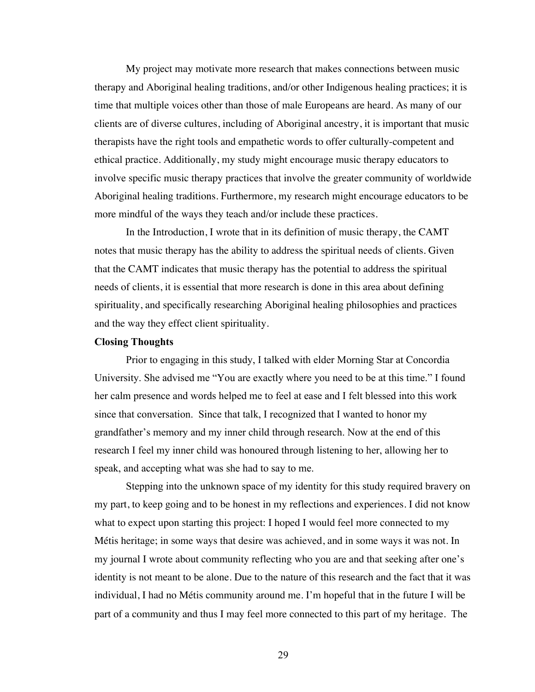My project may motivate more research that makes connections between music therapy and Aboriginal healing traditions, and/or other Indigenous healing practices; it is time that multiple voices other than those of male Europeans are heard. As many of our clients are of diverse cultures, including of Aboriginal ancestry, it is important that music therapists have the right tools and empathetic words to offer culturally-competent and ethical practice. Additionally, my study might encourage music therapy educators to involve specific music therapy practices that involve the greater community of worldwide Aboriginal healing traditions. Furthermore, my research might encourage educators to be more mindful of the ways they teach and/or include these practices.

In the Introduction, I wrote that in its definition of music therapy, the CAMT notes that music therapy has the ability to address the spiritual needs of clients. Given that the CAMT indicates that music therapy has the potential to address the spiritual needs of clients, it is essential that more research is done in this area about defining spirituality, and specifically researching Aboriginal healing philosophies and practices and the way they effect client spirituality.

#### <span id="page-37-0"></span>**Closing Thoughts**

Prior to engaging in this study, I talked with elder Morning Star at Concordia University. She advised me "You are exactly where you need to be at this time." I found her calm presence and words helped me to feel at ease and I felt blessed into this work since that conversation. Since that talk, I recognized that I wanted to honor my grandfather's memory and my inner child through research. Now at the end of this research I feel my inner child was honoured through listening to her, allowing her to speak, and accepting what was she had to say to me.

Stepping into the unknown space of my identity for this study required bravery on my part, to keep going and to be honest in my reflections and experiences. I did not know what to expect upon starting this project: I hoped I would feel more connected to my Métis heritage; in some ways that desire was achieved, and in some ways it was not. In my journal I wrote about community reflecting who you are and that seeking after one's identity is not meant to be alone. Due to the nature of this research and the fact that it was individual, I had no Métis community around me. I'm hopeful that in the future I will be part of a community and thus I may feel more connected to this part of my heritage. The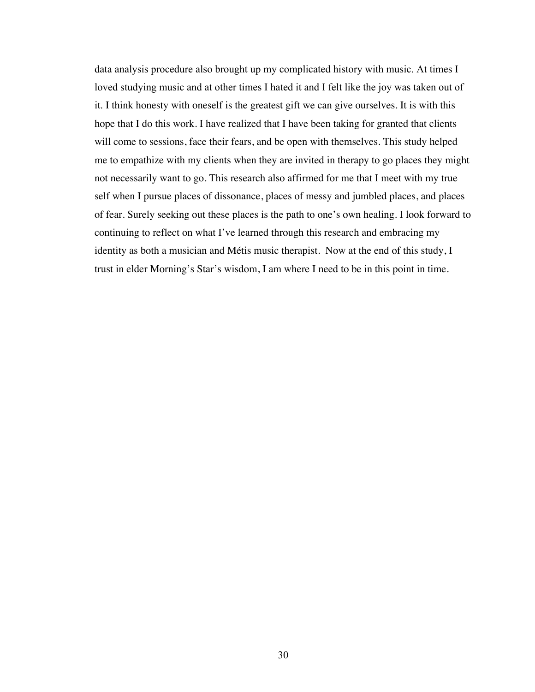data analysis procedure also brought up my complicated history with music. At times I loved studying music and at other times I hated it and I felt like the joy was taken out of it. I think honesty with oneself is the greatest gift we can give ourselves. It is with this hope that I do this work. I have realized that I have been taking for granted that clients will come to sessions, face their fears, and be open with themselves. This study helped me to empathize with my clients when they are invited in therapy to go places they might not necessarily want to go. This research also affirmed for me that I meet with my true self when I pursue places of dissonance, places of messy and jumbled places, and places of fear. Surely seeking out these places is the path to one's own healing. I look forward to continuing to reflect on what I've learned through this research and embracing my identity as both a musician and Métis music therapist. Now at the end of this study, I trust in elder Morning's Star's wisdom, I am where I need to be in this point in time.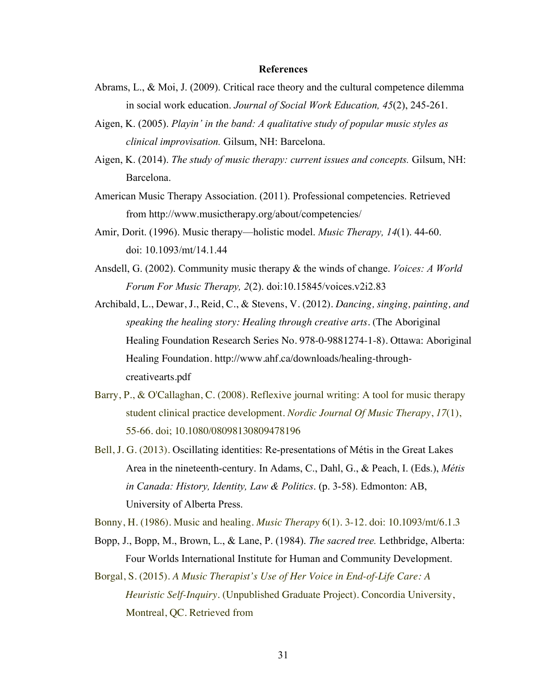#### <span id="page-39-0"></span>**References**

- Abrams, L., & Moi, J. (2009). Critical race theory and the cultural competence dilemma in social work education. *Journal of Social Work Education, 45*(2), 245-261.
- Aigen, K. (2005). *Playin' in the band: A qualitative study of popular music styles as clinical improvisation.* Gilsum, NH: Barcelona.
- Aigen, K. (2014). *The study of music therapy: current issues and concepts.* Gilsum, NH: Barcelona.
- American Music Therapy Association. (2011). Professional competencies. Retrieved from http://www.musictherapy.org/about/competencies/
- Amir, Dorit. (1996). Music therapy—holistic model. *Music Therapy, 14*(1). 44-60. doi: 10.1093/mt/14.1.44
- Ansdell, G. (2002). Community music therapy & the winds of change. *Voices: A World Forum For Music Therapy, 2*(2). doi:10.15845/voices.v2i2.83
- Archibald, L., Dewar, J., Reid, C., & Stevens, V. (2012). *Dancing, singing, painting, and speaking the healing story: Healing through creative arts.* (The Aboriginal Healing Foundation Research Series No. 978-0-9881274-1-8). Ottawa: Aboriginal Healing Foundation. [http://www.ahf.ca/downloads/healing-through](http://www.ahf.ca/downloads/healing-through-creativearts.pdf)[creativearts.pdf](http://www.ahf.ca/downloads/healing-through-creativearts.pdf)
- Barry, P., & O'Callaghan, C. (2008). Reflexive journal writing: A tool for music therapy student clinical practice development. *Nordic Journal Of Music Therapy*, *17*(1), 55-66. doi; 10.1080/08098130809478196
- Bell, J. G. (2013). Oscillating identities: Re-presentations of Métis in the Great Lakes Area in the nineteenth-century. In Adams, C., Dahl, G., & Peach, I. (Eds.), *Métis in Canada: History, Identity, Law & Politics*. (p. 3-58). Edmonton: AB, University of Alberta Press.

Bonny, H. (1986). Music and healing. *Music Therapy* 6(1). 3-12. doi: 10.1093/mt/6.1.3

- Bopp, J., Bopp, M., Brown, L., & Lane, P. (1984). *The sacred tree.* Lethbridge, Alberta: Four Worlds International Institute for Human and Community Development.
- Borgal, S. (2015). *A Music Therapist's Use of Her Voice in End-of-Life Care: A Heuristic Self-Inquiry.* (Unpublished Graduate Project). Concordia University, Montreal, QC. Retrieved from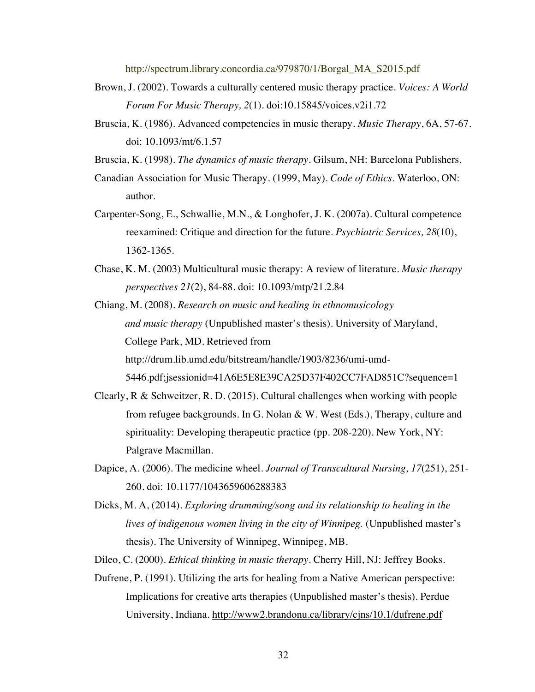http://spectrum.library.concordia.ca/979870/1/Borgal\_MA\_S2015.pdf

- Brown, J. (2002). Towards a culturally centered music therapy practice. *Voices: A World Forum For Music Therapy, 2*(1). doi:10.15845/voices.v2i1.72
- Bruscia, K. (1986). Advanced competencies in music therapy. *Music Therapy*, 6A, 57-67. doi: 10.1093/mt/6.1.57
- Bruscia, K. (1998). *The dynamics of music therapy.* Gilsum, NH: Barcelona Publishers.
- Canadian Association for Music Therapy. (1999, May). *Code of Ethics.* Waterloo, ON: author.
- Carpenter-Song, E., Schwallie, M.N., & Longhofer, J. K. (2007a). Cultural competence reexamined: Critique and direction for the future. *Psychiatric Services, 28*(10), 1362-1365.
- Chase, K. M. (2003) Multicultural music therapy: A review of literature. *Music therapy perspectives 21*(2), 84-88. doi: 10.1093/mtp/21.2.84

Chiang, M. (2008). *Research on music and healing in ethnomusicology and music therapy* (Unpublished master's thesis). University of Maryland, College Park, MD. Retrieved from http://drum.lib.umd.edu/bitstream/handle/1903/8236/umi-umd-5446.pdf;jsessionid=41A6E5E8E39CA25D37F402CC7FAD851C?sequence=1

- Clearly, R & Schweitzer, R. D. (2015). Cultural challenges when working with people from refugee backgrounds. In G. Nolan & W. West (Eds.), Therapy, culture and spirituality: Developing therapeutic practice (pp. 208-220). New York, NY: Palgrave Macmillan.
- Dapice, A. (2006). The medicine wheel. *Journal of Transcultural Nursing, 17*(251), 251- 260. doi: 10.1177/1043659606288383
- Dicks, M. A, (2014). *Exploring drumming/song and its relationship to healing in the lives of indigenous women living in the city of Winnipeg.* (Unpublished master's thesis). The University of Winnipeg, Winnipeg, MB.

Dileo, C. (2000). *Ethical thinking in music therapy.* Cherry Hill, NJ: Jeffrey Books.

Dufrene, P. (1991). Utilizing the arts for healing from a Native American perspective: Implications for creative arts therapies (Unpublished master's thesis). Perdue University, Indiana.<http://www2.brandonu.ca/library/cjns/10.1/dufrene.pdf>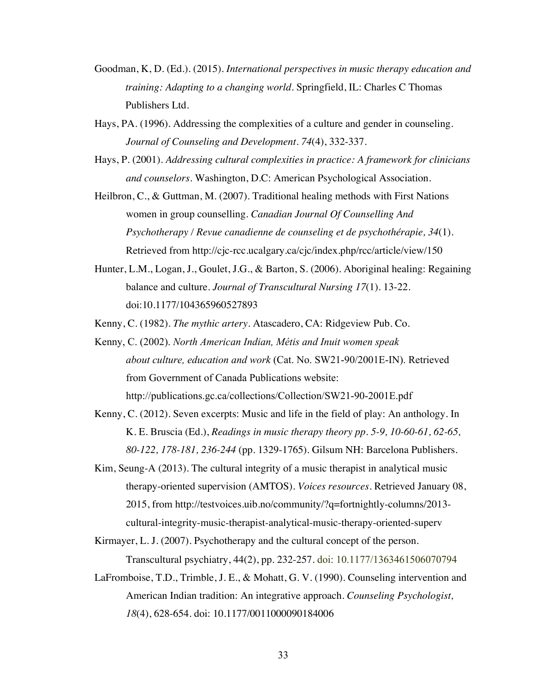- Goodman, K, D. (Ed.). (2015). *International perspectives in music therapy education and training: Adapting to a changing world.* Springfield, IL: Charles C Thomas Publishers Ltd.
- Hays, PA. (1996). Addressing the complexities of a culture and gender in counseling. *Journal of Counseling and Development. 74*(4), 332-337.
- Hays, P. (2001). *Addressing cultural complexities in practice: A framework for clinicians and counselors.* Washington, D.C: American Psychological Association.
- Heilbron, C., & Guttman, M. (2007). Traditional healing methods with First Nations women in group counselling. *Canadian Journal Of Counselling And Psychotherapy / Revue canadienne de counseling et de psychothérapie, 34*(1). Retrieved from <http://cjc-rcc.ucalgary.ca/cjc/index.php/rcc/article/view/150>
- Hunter, L.M., Logan, J., Goulet, J.G., & Barton, S. (2006). Aboriginal healing: Regaining balance and culture. *Journal of Transcultural Nursing 17*(1). 13-22. doi:10.1177/104365960527893
- Kenny, C. (1982). *The mythic artery*. Atascadero, CA: Ridgeview Pub. Co.
- Kenny, C. (2002). *North American Indian, Métis and Inuit women speak about culture, education and work* (Cat. No. SW21-90/2001E-IN). Retrieved from Government of Canada Publications website:
	- <http://publications.gc.ca/collections/Collection/SW21-90-2001E.pdf>
- Kenny, C. (2012). Seven excerpts: Music and life in the field of play: An anthology. In K. E. Bruscia (Ed.), *Readings in music therapy theory pp. 5-9, 10-60-61, 62-65, 80-122, 178-181, 236-244* (pp. 1329-1765). Gilsum NH: Barcelona Publishers.
- Kim, Seung-A (2013). The cultural integrity of a music therapist in analytical music therapy-oriented supervision (AMTOS). *Voices resources*. Retrieved January 08, 2015, from http://testvoices.uib.no/community/?q=fortnightly-columns/2013 cultural-integrity-music-therapist-analytical-music-therapy-oriented-superv
- Kirmayer, L. J. (2007). Psychotherapy and the cultural concept of the person.

Transcultural psychiatry, 44(2), pp. 232-257. doi: 10.1177/1363461506070794

LaFromboise, T.D., Trimble, J. E., & Mohatt, G. V. (1990). Counseling intervention and American Indian tradition: An integrative approach. *Counseling Psychologist, 18*(4), 628-654. doi: 10.1177/0011000090184006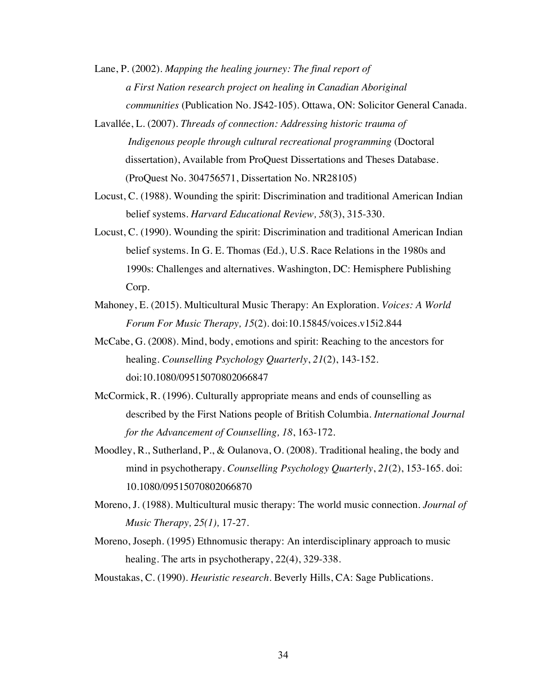Lane, P. (2002). *Mapping the healing journey: The final report of a First Nation research project on healing in Canadian Aboriginal communities* (Publication No. JS42-105). Ottawa, ON: Solicitor General Canada.

- Lavallée, L. (2007). *Threads of connection: Addressing historic trauma of Indigenous people through cultural recreational programming* (Doctoral dissertation), Available from ProQuest Dissertations and Theses Database. (ProQuest No. 304756571, Dissertation No. NR28105)
- Locust, C. (1988). Wounding the spirit: Discrimination and traditional American Indian belief systems. *Harvard Educational Review, 58*(3), 315-330.
- Locust, C. (1990). Wounding the spirit: Discrimination and traditional American Indian belief systems. In G. E. Thomas (Ed.), U.S. Race Relations in the 1980s and 1990s: Challenges and alternatives. Washington, DC: Hemisphere Publishing Corp.
- Mahoney, E. (2015). Multicultural Music Therapy: An Exploration. *Voices: A World Forum For Music Therapy, 15*(2). doi:10.15845/voices.v15i2.844
- McCabe, G. (2008). Mind, body, emotions and spirit: Reaching to the ancestors for healing. *Counselling Psychology Quarterly*, *21*(2), 143-152. doi:10.1080/09515070802066847
- McCormick, R. (1996). Culturally appropriate means and ends of counselling as described by the First Nations people of British Columbia. *International Journal for the Advancement of Counselling, 18*, 163-172.
- Moodley, R., Sutherland, P., & Oulanova, O. (2008). Traditional healing, the body and mind in psychotherapy. *Counselling Psychology Quarterly*, *21*(2), 153-165. doi: 10.1080/09515070802066870
- Moreno, J. (1988). Multicultural music therapy: The world music connection. *Journal of Music Therapy, 25(1),* 17-27.
- Moreno, Joseph. (1995) Ethnomusic therapy: An interdisciplinary approach to music healing. The arts in psychotherapy, 22(4), 329-338.

Moustakas, C. (1990). *Heuristic research*. Beverly Hills, CA: Sage Publications.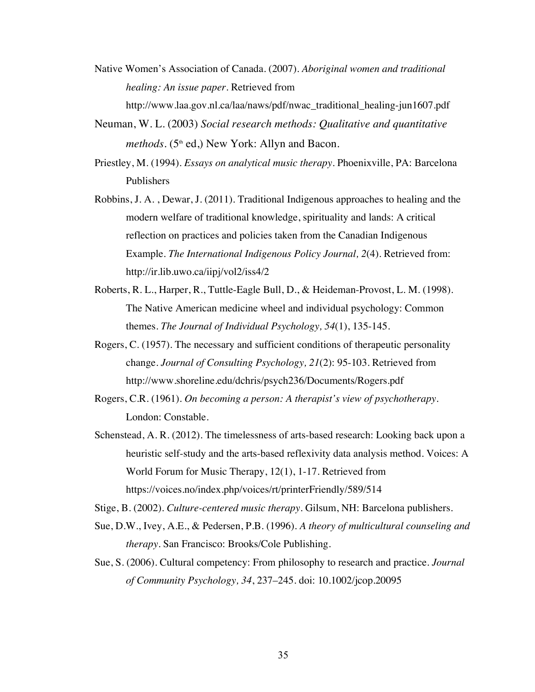- Native Women's Association of Canada. (2007). *Aboriginal women and traditional healing: An issue paper.* Retrieved from [http://www.laa.gov.nl.ca/laa/naws/pdf/nwac\\_traditional\\_healing-jun1607.pdf](http://www.laa.gov.nl.ca/laa/naws/pdf/nwac_traditional_healing-jun1607.pdf)
- Neuman, W. L. (2003) *Social research methods: Qualitative and quantitative methods.* (5<sup>th</sup> ed,) New York: Allyn and Bacon.
- Priestley, M. (1994). *Essays on analytical music therapy*. Phoenixville, PA: Barcelona Publishers
- Robbins, J. A. , Dewar, J. (2011). Traditional Indigenous approaches to healing and the modern welfare of traditional knowledge, spirituality and lands: A critical reflection on practices and policies taken from the Canadian Indigenous Example. *The International Indigenous Policy Journal, 2*(4). Retrieved from: http://ir.lib.uwo.ca/iipj/vol2/iss4/2
- Roberts, R. L., Harper, R., Tuttle-Eagle Bull, D., & Heideman-Provost, L. M. (1998). The Native American medicine wheel and individual psychology: Common themes. *The Journal of Individual Psychology, 54*(1), 135-145.
- Rogers, C. (1957). The necessary and sufficient conditions of therapeutic personality change. *Journal of Consulting Psychology, 21*(2): 95-103. Retrieved from http://www.shoreline.edu/dchris/psych236/Documents/Rogers.pdf
- Rogers, C.R. (1961). *On becoming a person: A therapist's view of psychotherapy*. London: Constable.
- Schenstead, A. R. (2012). The timelessness of arts-based research: Looking back upon a heuristic self-study and the arts-based reflexivity data analysis method. Voices: A World Forum for Music Therapy, 12(1), 1-17. Retrieved from https://voices.no/index.php/voices/rt/printerFriendly/589/514
- Stige, B. (2002). *Culture-centered music therapy.* Gilsum, NH: Barcelona publishers.
- Sue, D.W., Ivey, A.E., & Pedersen, P.B. (1996). *A theory of multicultural counseling and therapy.* San Francisco: Brooks/Cole Publishing.
- Sue, S. (2006). Cultural competency: From philosophy to research and practice. *Journal of Community Psychology, 34*, 237–245. doi: 10.1002/jcop.20095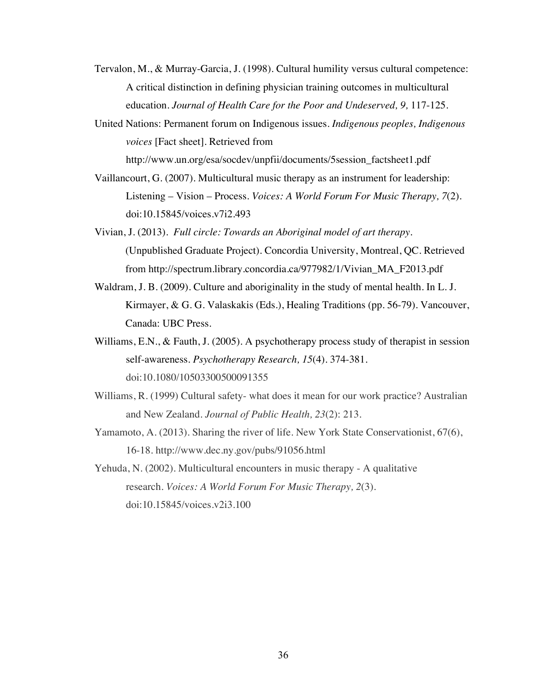- Tervalon, M., & Murray-Garcia, J. (1998). Cultural humility versus cultural competence: A critical distinction in defining physician training outcomes in multicultural education. *Journal of Health Care for the Poor and Undeserved, 9,* 117-125.
- United Nations: Permanent forum on Indigenous issues. *Indigenous peoples, Indigenous voices* [Fact sheet]. Retrieved from

http://www.un.org/esa/socdev/unpfii/documents/5session\_factsheet1.pdf

- Vaillancourt, G. (2007). Multicultural music therapy as an instrument for leadership: Listening – Vision – Process. *Voices: A World Forum For Music Therapy, 7*(2). doi:10.15845/voices.v7i2.493
- Vivian, J. (2013). *Full circle: Towards an Aboriginal model of art therapy.*  (Unpublished Graduate Project). Concordia University, Montreal, QC. Retrieved from http://spectrum.library.concordia.ca/977982/1/Vivian\_MA\_F2013.pdf
- Waldram, J. B. (2009). Culture and aboriginality in the study of mental health. In L. J. Kirmayer, & G. G. Valaskakis (Eds.), Healing Traditions (pp. 56-79). Vancouver, Canada: UBC Press.
- Williams, E.N., & Fauth, J. (2005). A psychotherapy process study of therapist in session self-awareness. *Psychotherapy Research, 15*(4). 374-381. doi:10.1080/10503300500091355
- Williams, R. (1999) Cultural safety- what does it mean for our work practice? Australian and New Zealand. *Journal of Public Health, 23*(2): 213.
- Yamamoto, A. (2013). Sharing the river of life. New York State Conservationist, 67(6), 16-18. http://www.dec.ny.gov/pubs/91056.html
- Yehuda, N. (2002). Multicultural encounters in music therapy A qualitative research. *Voices: A World Forum For Music Therapy, 2*(3). doi:10.15845/voices.v2i3.100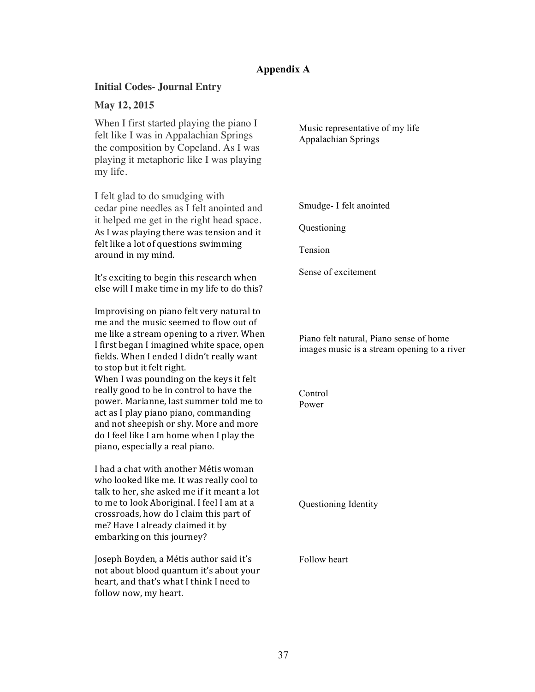# <span id="page-45-0"></span>**Appendix A**

# **Initial Codes- Journal Entry**

# **May 12, 2015**

When I first started playing the piano I felt like I was in Appalachian Springs the composition by Copeland. As I was playing it metaphoric like I was playing my life.

I felt glad to do smudging with cedar pine needles as I felt anointed and it helped me get in the right head space. As I was playing there was tension and it felt like a lot of questions swimming around in my mind.

It's exciting to begin this research when else will I make time in my life to do this?

Improvising on piano felt very natural to me and the music seemed to flow out of me like a stream opening to a river. When I first began I imagined white space, open fields. When I ended I didn't really want to stop but it felt right. When I was pounding on the keys it felt really good to be in control to have the power. Marianne, last summer told me to act as I play piano piano, commanding and not sheepish or shy. More and more do I feel like I am home when I play the piano, especially a real piano.

I had a chat with another Métis woman who looked like me. It was really cool to talk to her, she asked me if it meant a lot to me to look Aboriginal. I feel I am at a crossroads, how do I claim this part of me? Have I already claimed it by embarking on this journey?

Joseph Boyden, a Métis author said it's not about blood quantum it's about your heart, and that's what I think I need to follow now, my heart.

Music representative of my life Appalachian Springs

Smudge- I felt anointed

Questioning

Tension

Sense of excitement

Piano felt natural, Piano sense of home images music is a stream opening to a river

Control Power

Questioning Identity

Follow heart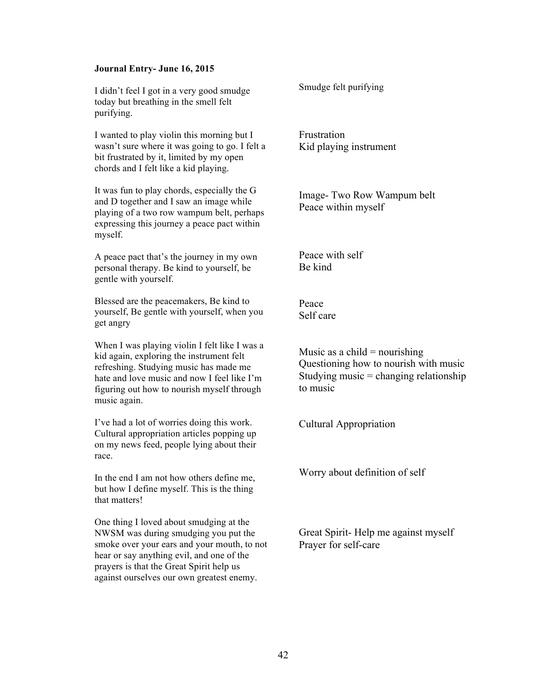#### **Journal Entry- June 16, 2015**

I didn't feel I got in a very good smudge today but breathing in the smell felt purifying.

I wanted to play violin this morning but I wasn't sure where it was going to go. I felt a bit frustrated by it, limited by my open chords and I felt like a kid playing.

It was fun to play chords, especially the G and D together and I saw an image while playing of a two row wampum belt, perhaps expressing this journey a peace pact within myself.

A peace pact that's the journey in my own personal therapy. Be kind to yourself, be gentle with yourself.

Blessed are the peacemakers, Be kind to yourself, Be gentle with yourself, when you get angry

When I was playing violin I felt like I was a kid again, exploring the instrument felt refreshing. Studying music has made me hate and love music and now I feel like I'm figuring out how to nourish myself through music again.

I've had a lot of worries doing this work. Cultural appropriation articles popping up on my news feed, people lying about their race.

In the end I am not how others define me, but how I define myself. This is the thing that matters!

One thing I loved about smudging at the NWSM was during smudging you put the smoke over your ears and your mouth, to not hear or say anything evil, and one of the prayers is that the Great Spirit help us against ourselves our own greatest enemy.

Smudge felt purifying

Frustration Kid playing instrument

Image- Two Row Wampum belt Peace within myself

Peace with self Be kind

Peace Self care

Music as a child  $=$  nourishing Questioning how to nourish with music Studying music  $=$  changing relationship to music

Cultural Appropriation

Worry about definition of self

Great Spirit- Help me against myself Prayer for self-care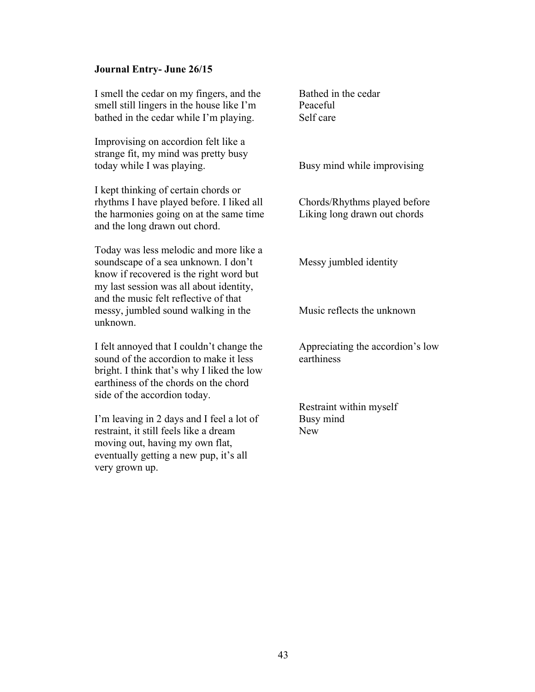# **Journal Entry- June 26/15**

| I smell the cedar on my fingers, and the<br>smell still lingers in the house like I'm<br>bathed in the cedar while I'm playing.                                                                               | Bathed in the cedar<br>Peaceful<br>Self care                 |
|---------------------------------------------------------------------------------------------------------------------------------------------------------------------------------------------------------------|--------------------------------------------------------------|
| Improvising on accordion felt like a<br>strange fit, my mind was pretty busy<br>today while I was playing.                                                                                                    | Busy mind while improvising                                  |
| I kept thinking of certain chords or<br>rhythms I have played before. I liked all<br>the harmonies going on at the same time<br>and the long drawn out chord.                                                 | Chords/Rhythms played before<br>Liking long drawn out chords |
| Today was less melodic and more like a<br>soundscape of a sea unknown. I don't<br>know if recovered is the right word but<br>my last session was all about identity,<br>and the music felt reflective of that | Messy jumbled identity                                       |
| messy, jumbled sound walking in the<br>unknown.                                                                                                                                                               | Music reflects the unknown                                   |
| I felt annoyed that I couldn't change the<br>sound of the accordion to make it less<br>bright. I think that's why I liked the low<br>earthiness of the chords on the chord<br>side of the accordion today.    | Appreciating the accordion's low<br>earthiness               |
|                                                                                                                                                                                                               | Restraint within myself                                      |
| I'm leaving in 2 days and I feel a lot of<br>restraint, it still feels like a dream<br>moving out, having my own flat,<br>eventually getting a new pup, it's all<br>very grown up.                            | Busy mind<br><b>New</b>                                      |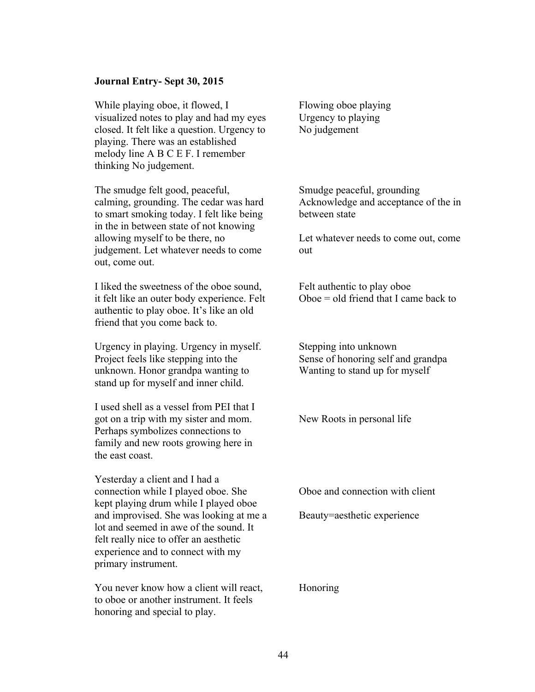# **Journal Entry- Sept 30, 2015**

While playing oboe, it flowed, I visualized notes to play and had my eyes closed. It felt like a question. Urgency to playing. There was an established melody line A B C E F. I remember thinking No judgement.

The smudge felt good, peaceful, calming, grounding. The cedar was hard to smart smoking today. I felt like being in the in between state of not knowing allowing myself to be there, no judgement. Let whatever needs to come out, come out.

I liked the sweetness of the oboe sound, it felt like an outer body experience. Felt authentic to play oboe. It's like an old friend that you come back to.

Urgency in playing. Urgency in myself. Project feels like stepping into the unknown. Honor grandpa wanting to stand up for myself and inner child.

I used shell as a vessel from PEI that I got on a trip with my sister and mom. Perhaps symbolizes connections to family and new roots growing here in the east coast.

Yesterday a client and I had a connection while I played oboe. She kept playing drum while I played oboe and improvised. She was looking at me a lot and seemed in awe of the sound. It felt really nice to offer an aesthetic experience and to connect with my primary instrument.

You never know how a client will react, to oboe or another instrument. It feels honoring and special to play.

Flowing oboe playing Urgency to playing No judgement

Smudge peaceful, grounding Acknowledge and acceptance of the in between state

Let whatever needs to come out, come out

Felt authentic to play oboe  $Oboe = old$  friend that I came back to

Stepping into unknown Sense of honoring self and grandpa Wanting to stand up for myself

New Roots in personal life

Oboe and connection with client

Beauty=aesthetic experience

Honoring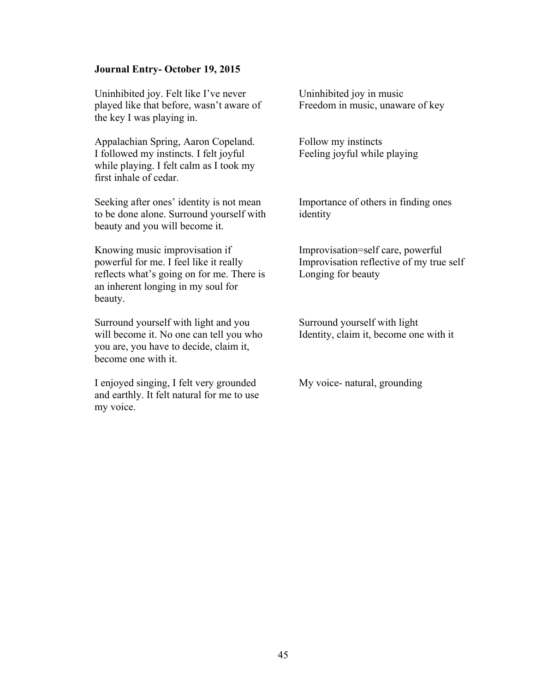## **Journal Entry- October 19, 2015**

Uninhibited joy. Felt like I've never played like that before, wasn't aware of the key I was playing in.

Appalachian Spring, Aaron Copeland. I followed my instincts. I felt joyful while playing. I felt calm as I took my first inhale of cedar.

Seeking after ones' identity is not mean to be done alone. Surround yourself with beauty and you will become it.

Knowing music improvisation if powerful for me. I feel like it really reflects what's going on for me. There is an inherent longing in my soul for beauty.

Surround yourself with light and you will become it. No one can tell you who you are, you have to decide, claim it, become one with it.

I enjoyed singing, I felt very grounded and earthly. It felt natural for me to use my voice.

Uninhibited joy in music Freedom in music, unaware of key

Follow my instincts Feeling joyful while playing

Importance of others in finding ones identity

Improvisation=self care, powerful Improvisation reflective of my true self Longing for beauty

Surround yourself with light Identity, claim it, become one with it

My voice- natural, grounding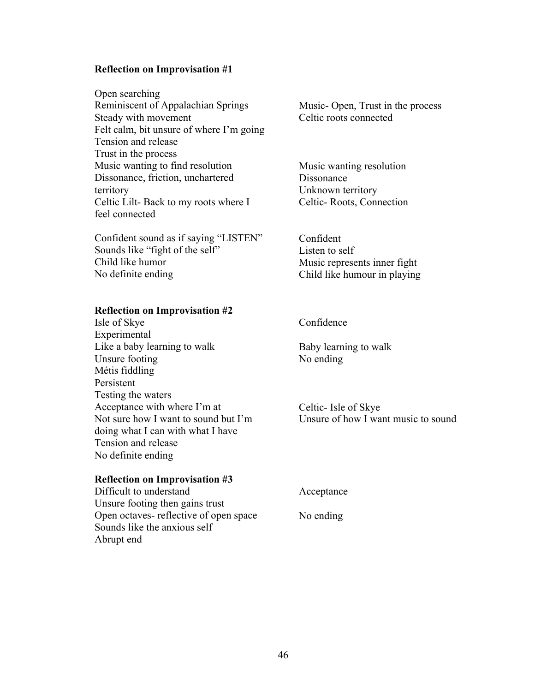# **Reflection on Improvisation #1**

Open searching Reminiscent of Appalachian Springs Steady with movement Felt calm, bit unsure of where I'm going Tension and release Trust in the process Music wanting to find resolution Dissonance, friction, unchartered territory Celtic Lilt- Back to my roots where I feel connected

Confident sound as if saying "LISTEN" Sounds like "fight of the self" Child like humor No definite ending

#### **Reflection on Improvisation #2**

Isle of Skye Experimental Like a baby learning to walk Unsure footing Métis fiddling Persistent Testing the waters Acceptance with where I'm at Not sure how I want to sound but I'm doing what I can with what I have Tension and release No definite ending

# **Reflection on Improvisation #3**

Difficult to understand Unsure footing then gains trust Open octaves- reflective of open space Sounds like the anxious self Abrupt end

Music- Open, Trust in the process Celtic roots connected

Music wanting resolution Dissonance Unknown territory Celtic- Roots, Connection

Confident Listen to self Music represents inner fight Child like humour in playing

# Confidence

Baby learning to walk No ending

Celtic- Isle of Skye Unsure of how I want music to sound

Acceptance

No ending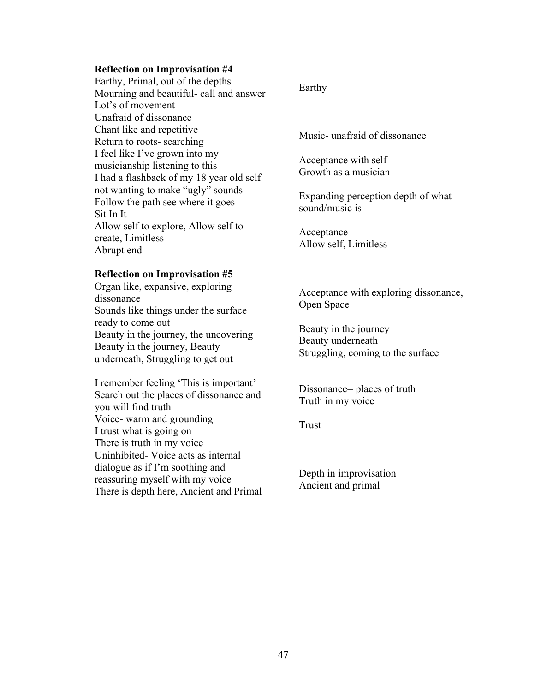## **Reflection on Improvisation #4**

Earthy, Primal, out of the depths Mourning and beautiful- call and answer Lot's of movement Unafraid of dissonance Chant like and repetitive Return to roots- searching I feel like I've grown into my musicianship listening to this I had a flashback of my 18 year old self not wanting to make "ugly" sounds Follow the path see where it goes Sit In It Allow self to explore, Allow self to create, Limitless Abrupt end

## **Reflection on Improvisation #5**

Organ like, expansive, exploring dissonance Sounds like things under the surface ready to come out Beauty in the journey, the uncovering Beauty in the journey, Beauty underneath, Struggling to get out

I remember feeling 'This is important' Search out the places of dissonance and you will find truth Voice- warm and grounding I trust what is going on There is truth in my voice Uninhibited- Voice acts as internal dialogue as if I'm soothing and reassuring myself with my voice There is depth here, Ancient and Primal

# Earthy

Music- unafraid of dissonance

Acceptance with self Growth as a musician

Expanding perception depth of what sound/music is

Acceptance Allow self, Limitless

Acceptance with exploring dissonance, Open Space

Beauty in the journey Beauty underneath Struggling, coming to the surface

Dissonance= places of truth Truth in my voice

Trust

Depth in improvisation Ancient and primal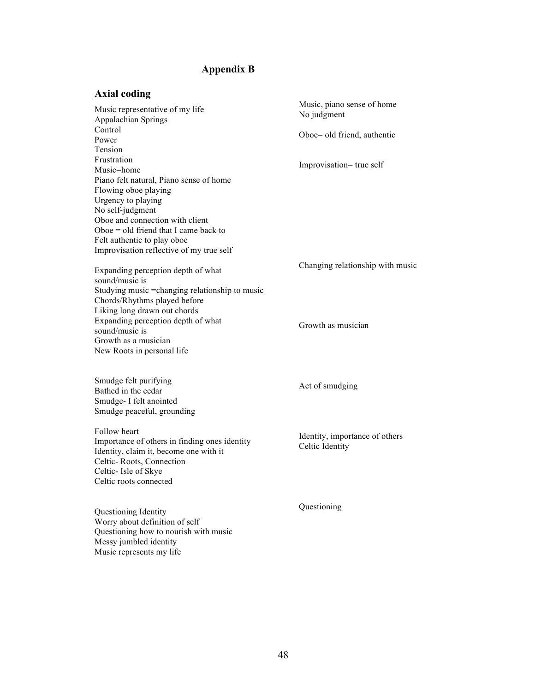# <span id="page-52-0"></span>**Appendix B**

#### **Axial coding**

Music representative of my life Appalachian Springs Control Power Tension Frustration Music=home Piano felt natural, Piano sense of home Flowing oboe playing Urgency to playing No self-judgment Oboe and connection with client Oboe = old friend that I came back to Felt authentic to play oboe Improvisation reflective of my true self Expanding perception depth of what sound/music is Studying music =changing relationship to music Chords/Rhythms played before Liking long drawn out chords Expanding perception depth of what Music, piano sense of home No judgment Oboe= old friend, authentic Improvisation= true self Changing relationship with music

New Roots in personal life Smudge felt purifying

sound/music is Growth as a musician

Bathed in the cedar Smudge- I felt anointed Smudge peaceful, grounding

Follow heart Importance of others in finding ones identity Identity, claim it, become one with it Celtic- Roots, Connection Celtic- Isle of Skye Celtic roots connected

Questioning Identity Worry about definition of self Questioning how to nourish with music Messy jumbled identity Music represents my life

Growth as musician

Act of smudging

Identity, importance of others Celtic Identity

Questioning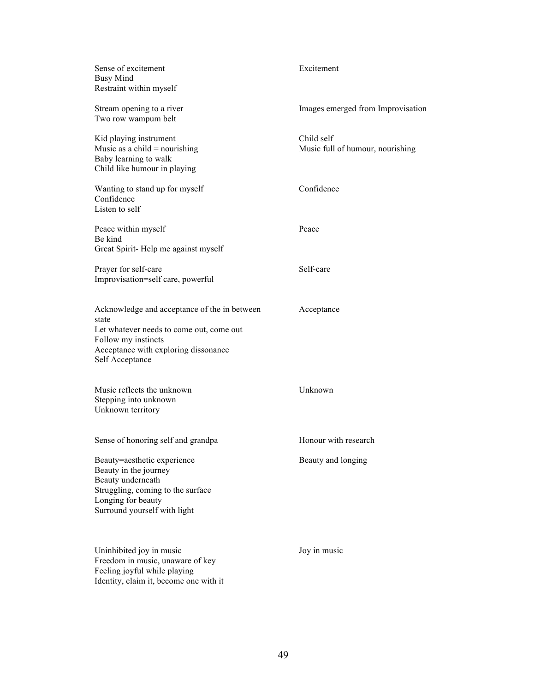| Sense of excitement<br><b>Busy Mind</b><br>Restraint within myself                                                                                                                  | Excitement                                     |
|-------------------------------------------------------------------------------------------------------------------------------------------------------------------------------------|------------------------------------------------|
| Stream opening to a river<br>Two row wampum belt                                                                                                                                    | Images emerged from Improvisation              |
| Kid playing instrument<br>Music as a child = nourishing<br>Baby learning to walk<br>Child like humour in playing                                                                    | Child self<br>Music full of humour, nourishing |
| Wanting to stand up for myself<br>Confidence<br>Listen to self                                                                                                                      | Confidence                                     |
| Peace within myself<br>Be kind<br>Great Spirit-Help me against myself                                                                                                               | Peace                                          |
| Prayer for self-care<br>Improvisation=self care, powerful                                                                                                                           | Self-care                                      |
| Acknowledge and acceptance of the in between<br>state<br>Let whatever needs to come out, come out<br>Follow my instincts<br>Acceptance with exploring dissonance<br>Self Acceptance | Acceptance                                     |
| Music reflects the unknown<br>Stepping into unknown<br>Unknown territory                                                                                                            | Unknown                                        |
| Sense of honoring self and grandpa                                                                                                                                                  | Honour with research                           |
| Beauty=aesthetic experience<br>Beauty in the journey<br>Beauty underneath<br>Struggling, coming to the surface<br>Longing for beauty<br>Surround yourself with light                | Beauty and longing                             |
| Uninhibited joy in music<br>Freedom in music, unaware of key<br>Feeling joyful while playing<br>Identity, claim it, become one with it                                              | Joy in music                                   |